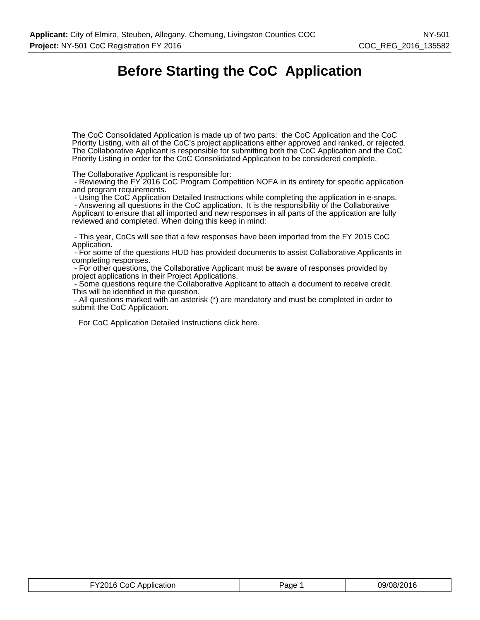# **Before Starting the CoC Application**

The CoC Consolidated Application is made up of two parts: the CoC Application and the CoC Priority Listing, with all of the CoC's project applications either approved and ranked, or rejected. The Collaborative Applicant is responsible for submitting both the CoC Application and the CoC Priority Listing in order for the CoC Consolidated Application to be considered complete.

The Collaborative Applicant is responsible for:

 - Reviewing the FY 2016 CoC Program Competition NOFA in its entirety for specific application and program requirements.

- Using the CoC Application Detailed Instructions while completing the application in e-snaps.

 - Answering all questions in the CoC application. It is the responsibility of the Collaborative Applicant to ensure that all imported and new responses in all parts of the application are fully reviewed and completed. When doing this keep in mind:

 - This year, CoCs will see that a few responses have been imported from the FY 2015 CoC Application.

 - For some of the questions HUD has provided documents to assist Collaborative Applicants in completing responses.

 - For other questions, the Collaborative Applicant must be aware of responses provided by project applications in their Project Applications.

 - Some questions require the Collaborative Applicant to attach a document to receive credit. This will be identified in the question.

 - All questions marked with an asterisk (\*) are mandatory and must be completed in order to submit the CoC Application.

For CoC Application Detailed Instructions click here.

| FY2016 CoC Application | Page | 09/08/2016 |
|------------------------|------|------------|
|------------------------|------|------------|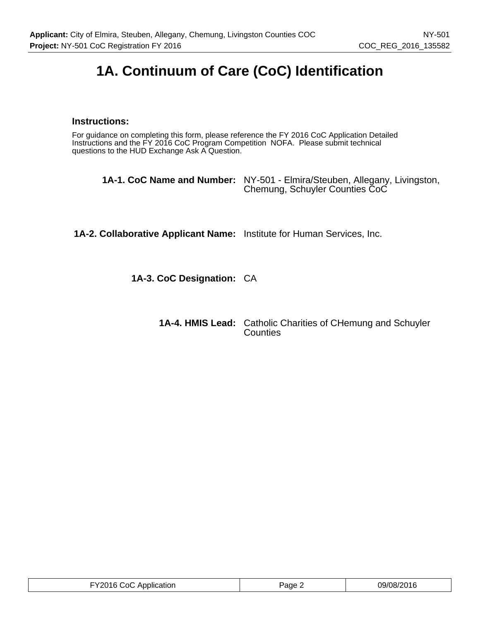# **1A. Continuum of Care (CoC) Identification**

## **Instructions:**

For guidance on completing this form, please reference the FY 2016 CoC Application Detailed Instructions and the FY 2016 CoC Program Competition NOFA. Please submit technical questions to the HUD Exchange Ask A Question.

| <b>1A-1. CoC Name and Number:</b> NY-501 - Elmira/Steuben, Allegany, Livingston,<br>Chemung, Schuyler Counties CoC |
|--------------------------------------------------------------------------------------------------------------------|
|                                                                                                                    |

**1A-2. Collaborative Applicant Name:** Institute for Human Services, Inc.

**1A-3. CoC Designation:** CA

| <b>1A-4. HMIS Lead:</b> Catholic Charities of CHemung and Schuyler<br>Counties |
|--------------------------------------------------------------------------------|
|                                                                                |

| FY2016 CoC Application | Page $\angle$ | 09/08/2016 |
|------------------------|---------------|------------|
|------------------------|---------------|------------|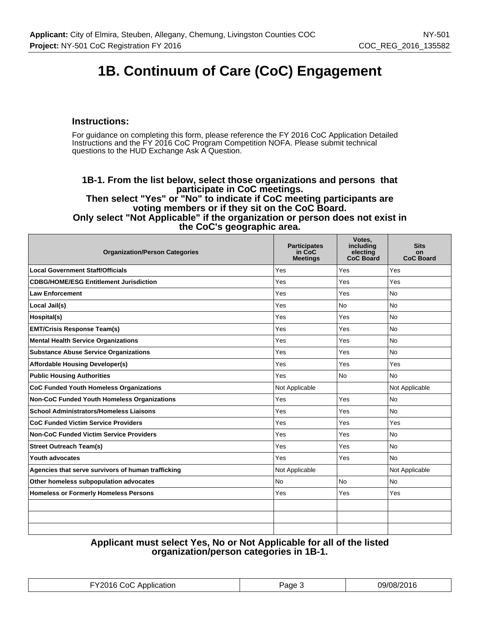# **1B. Continuum of Care (CoC) Engagement**

## **Instructions:**

For guidance on completing this form, please reference the FY 2016 CoC Application Detailed Instructions and the FY 2016 CoC Program Competition NOFA. Please submit technical questions to the HUD Exchange Ask A Question.

#### **1B-1. From the list below, select those organizations and persons that participate in CoC meetings. Then select "Yes" or "No" to indicate if CoC meeting participants are voting members or if they sit on the CoC Board. Only select "Not Applicable" if the organization or person does not exist in the CoC's geographic area.**

| <b>Organization/Person Categories</b>              | <b>Participates</b><br>in CoC<br><b>Meetings</b> | Votes.<br>including<br>electing<br><b>CoC Board</b> | <b>Sits</b><br>on<br><b>CoC Board</b> |
|----------------------------------------------------|--------------------------------------------------|-----------------------------------------------------|---------------------------------------|
| <b>Local Government Staff/Officials</b>            | Yes                                              | Yes                                                 | Yes                                   |
| <b>CDBG/HOME/ESG Entitlement Jurisdiction</b>      | Yes                                              | Yes                                                 | Yes                                   |
| <b>Law Enforcement</b>                             | Yes                                              | Yes                                                 | <b>No</b>                             |
| Local Jail(s)                                      | Yes                                              | <b>No</b>                                           | <b>No</b>                             |
| Hospital(s)                                        | Yes                                              | Yes                                                 | <b>No</b>                             |
| <b>EMT/Crisis Response Team(s)</b>                 | Yes                                              | Yes                                                 | <b>No</b>                             |
| <b>Mental Health Service Organizations</b>         | Yes                                              | Yes                                                 | <b>No</b>                             |
| <b>Substance Abuse Service Organizations</b>       | Yes                                              | Yes                                                 | <b>No</b>                             |
| <b>Affordable Housing Developer(s)</b>             | Yes                                              | Yes                                                 | Yes                                   |
| <b>Public Housing Authorities</b>                  | Yes                                              | <b>No</b>                                           | <b>No</b>                             |
| <b>CoC Funded Youth Homeless Organizations</b>     | Not Applicable                                   |                                                     | Not Applicable                        |
| <b>Non-CoC Funded Youth Homeless Organizations</b> | Yes                                              | Yes                                                 | <b>No</b>                             |
| <b>School Administrators/Homeless Liaisons</b>     | Yes                                              | Yes                                                 | <b>No</b>                             |
| <b>CoC Funded Victim Service Providers</b>         | Yes                                              | Yes                                                 | Yes                                   |
| <b>Non-CoC Funded Victim Service Providers</b>     | Yes                                              | Yes                                                 | <b>No</b>                             |
| <b>Street Outreach Team(s)</b>                     | Yes                                              | Yes                                                 | <b>No</b>                             |
| Youth advocates                                    | Yes                                              | Yes                                                 | <b>No</b>                             |
| Agencies that serve survivors of human trafficking | Not Applicable                                   |                                                     | Not Applicable                        |
| Other homeless subpopulation advocates             | <b>No</b>                                        | <b>No</b>                                           | <b>No</b>                             |
| <b>Homeless or Formerly Homeless Persons</b>       | Yes                                              | Yes                                                 | Yes                                   |
|                                                    |                                                  |                                                     |                                       |
|                                                    |                                                  |                                                     |                                       |
|                                                    |                                                  |                                                     |                                       |

## **Applicant must select Yes, No or Not Applicable for all of the listed organization/person categories in 1B-1.**

| <b>FY2016 CoC Application</b> | Page | 09/08/2016 |
|-------------------------------|------|------------|
|-------------------------------|------|------------|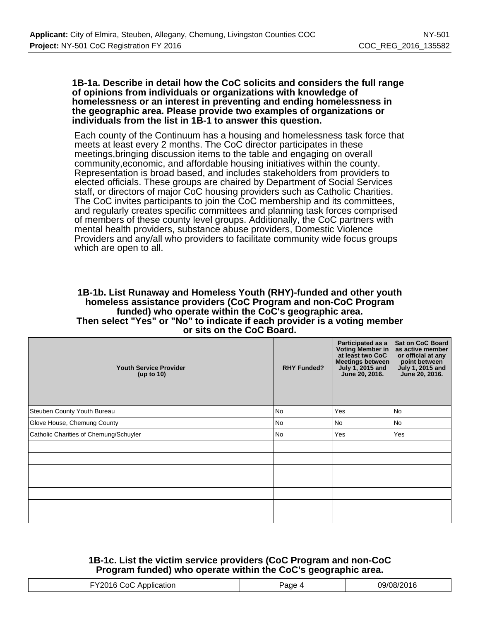#### **1B-1a. Describe in detail how the CoC solicits and considers the full range of opinions from individuals or organizations with knowledge of homelessness or an interest in preventing and ending homelessness in the geographic area. Please provide two examples of organizations or individuals from the list in 1B-1 to answer this question.**

Each county of the Continuum has a housing and homelessness task force that meets at least every 2 months. The CoC director participates in these meetings,bringing discussion items to the table and engaging on overall community,economic, and affordable housing initiatives within the county. Representation is broad based, and includes stakeholders from providers to elected officials. These groups are chaired by Department of Social Services staff, or directors of major CoC housing providers such as Catholic Charities. The CoC invites participants to join the CoC membership and its committees, and regularly creates specific committees and planning task forces comprised of members of these county level groups. Additionally, the CoC partners with mental health providers, substance abuse providers, Domestic Violence Providers and any/all who providers to facilitate community wide focus groups which are open to all.

#### **1B-1b. List Runaway and Homeless Youth (RHY)-funded and other youth homeless assistance providers (CoC Program and non-CoC Program funded) who operate within the CoC's geographic area. Then select "Yes" or "No" to indicate if each provider is a voting member or sits on the CoC Board.**

| <b>Youth Service Provider</b><br>(up to $10$ ) | <b>RHY Funded?</b> | Participated as a<br>Voting Member in<br>at least two CoC<br>Meetings between<br>July 1, 2015 and<br>June 20, 2016. | <b>Sat on CoC Board</b><br>as active member<br>or official at any<br>point between<br>July 1, 2015 and<br>June 20, 2016. |
|------------------------------------------------|--------------------|---------------------------------------------------------------------------------------------------------------------|--------------------------------------------------------------------------------------------------------------------------|
| Steuben County Youth Bureau                    | <b>No</b>          | Yes                                                                                                                 | <b>No</b>                                                                                                                |
| Glove House, Chemung County                    | <b>No</b>          | No                                                                                                                  | <b>No</b>                                                                                                                |
| Catholic Charities of Chemung/Schuyler         | No                 | Yes                                                                                                                 | Yes                                                                                                                      |
|                                                |                    |                                                                                                                     |                                                                                                                          |
|                                                |                    |                                                                                                                     |                                                                                                                          |
|                                                |                    |                                                                                                                     |                                                                                                                          |
|                                                |                    |                                                                                                                     |                                                                                                                          |
|                                                |                    |                                                                                                                     |                                                                                                                          |
|                                                |                    |                                                                                                                     |                                                                                                                          |
|                                                |                    |                                                                                                                     |                                                                                                                          |

## **1B-1c. List the victim service providers (CoC Program and non-CoC Program funded) who operate within the CoC's geographic area.**

| . <del>. .</del> | . |
|------------------|---|
|                  |   |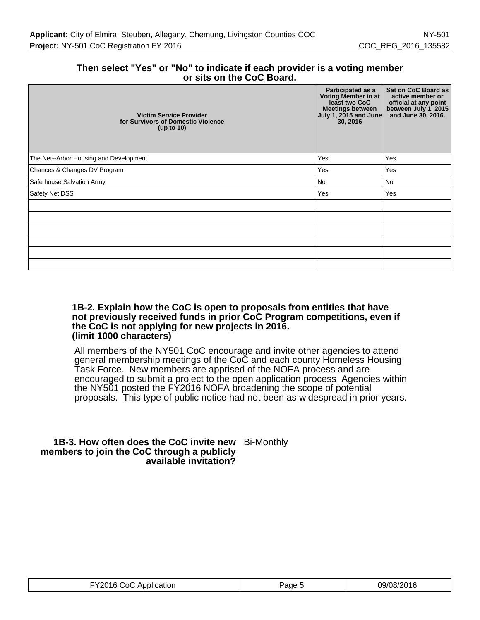## **Then select "Yes" or "No" to indicate if each provider is a voting member or sits on the CoC Board.**

| <b>Victim Service Provider</b><br>for Survivors of Domestic Violence<br>(up to $10$ ) | Participated as a<br>Voting Member in at<br>least two CoC<br>Meetings between<br>July 1, 2015 and June<br>30, 2016 | <b>Sat on CoC Board as</b><br>active member or<br>official at any point<br>between July 1, 2015<br>and June 30, 2016. |
|---------------------------------------------------------------------------------------|--------------------------------------------------------------------------------------------------------------------|-----------------------------------------------------------------------------------------------------------------------|
| The Net--Arbor Housing and Development                                                | Yes                                                                                                                | Yes                                                                                                                   |
| Chances & Changes DV Program                                                          | Yes                                                                                                                | Yes                                                                                                                   |
| Safe house Salvation Army                                                             | No                                                                                                                 | No                                                                                                                    |
| Safety Net DSS                                                                        | Yes                                                                                                                | Yes                                                                                                                   |
|                                                                                       |                                                                                                                    |                                                                                                                       |
|                                                                                       |                                                                                                                    |                                                                                                                       |
|                                                                                       |                                                                                                                    |                                                                                                                       |
|                                                                                       |                                                                                                                    |                                                                                                                       |
|                                                                                       |                                                                                                                    |                                                                                                                       |
|                                                                                       |                                                                                                                    |                                                                                                                       |

#### **1B-2. Explain how the CoC is open to proposals from entities that have not previously received funds in prior CoC Program competitions, even if the CoC is not applying for new projects in 2016. (limit 1000 characters)**

All members of the NY501 CoC encourage and invite other agencies to attend general membership meetings of the CoC and each county Homeless Housing Task Force. New members are apprised of the NOFA process and are encouraged to submit a project to the open application process Agencies within the NY501 posted the FY2016 NOFA broadening the scope of potential proposals. This type of public notice had not been as widespread in prior years.

#### **1B-3. How often does the CoC invite new** Bi-Monthly **members to join the CoC through a publicly available invitation?**

| FY2016 CoC Application | Page : | 09/08/2016 |
|------------------------|--------|------------|
|------------------------|--------|------------|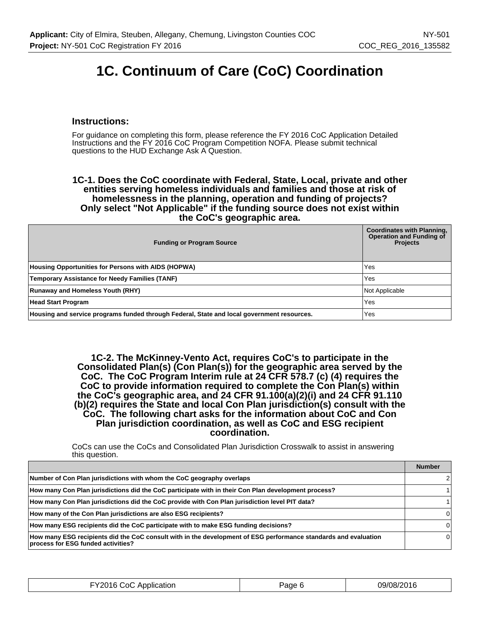# **1C. Continuum of Care (CoC) Coordination**

## **Instructions:**

For guidance on completing this form, please reference the FY 2016 CoC Application Detailed Instructions and the FY 2016 CoC Program Competition NOFA. Please submit technical questions to the HUD Exchange Ask A Question.

#### **1C-1. Does the CoC coordinate with Federal, State, Local, private and other entities serving homeless individuals and families and those at risk of homelessness in the planning, operation and funding of projects? Only select "Not Applicable" if the funding source does not exist within the CoC's geographic area.**

| <b>Funding or Program Source</b>                                                           | <b>Coordinates with Planning,</b><br><b>Operation and Funding of</b><br><b>Projects</b> |
|--------------------------------------------------------------------------------------------|-----------------------------------------------------------------------------------------|
| <b>Housing Opportunities for Persons with AIDS (HOPWA)</b>                                 | Yes                                                                                     |
| <b>Temporary Assistance for Needy Families (TANF)</b>                                      | Yes                                                                                     |
| <b>Runaway and Homeless Youth (RHY)</b>                                                    | Not Applicable                                                                          |
| <b>Head Start Program</b>                                                                  | Yes                                                                                     |
| Housing and service programs funded through Federal, State and local government resources. | Yes                                                                                     |

**1C-2. The McKinney-Vento Act, requires CoC's to participate in the Consolidated Plan(s) (Con Plan(s)) for the geographic area served by the CoC. The CoC Program Interim rule at 24 CFR 578.7 (c) (4) requires the CoC to provide information required to complete the Con Plan(s) within the CoC's geographic area, and 24 CFR 91.100(a)(2)(i) and 24 CFR 91.110 (b)(2) requires the State and local Con Plan jurisdiction(s) consult with the CoC. The following chart asks for the information about CoC and Con Plan jurisdiction coordination, as well as CoC and ESG recipient coordination.**

CoCs can use the CoCs and Consolidated Plan Jurisdiction Crosswalk to assist in answering this question.

|                                                                                                                                                       | <b>Number</b> |
|-------------------------------------------------------------------------------------------------------------------------------------------------------|---------------|
| Number of Con Plan jurisdictions with whom the CoC geography overlaps                                                                                 |               |
| How many Con Plan jurisdictions did the CoC participate with in their Con Plan development process?                                                   |               |
| How many Con Plan jurisdictions did the CoC provide with Con Plan jurisdiction level PIT data?                                                        |               |
| How many of the Con Plan jurisdictions are also ESG recipients?                                                                                       |               |
| How many ESG recipients did the CoC participate with to make ESG funding decisions?                                                                   |               |
| How many ESG recipients did the CoC consult with in the development of ESG performance standards and evaluation<br>process for ESG funded activities? |               |

| TY2016 CoC Application<br>그 사람들은 그 사람들은 아이들을 하고 있다. 이 사람들은 아이들은 아이들은 아이들을 하고 있다. | Page | 09/08/2016 |
|----------------------------------------------------------------------------------|------|------------|
|----------------------------------------------------------------------------------|------|------------|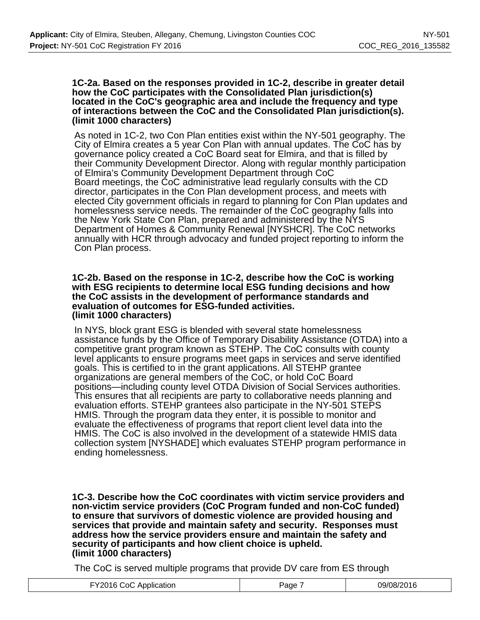#### **1C-2a. Based on the responses provided in 1C-2, describe in greater detail how the CoC participates with the Consolidated Plan jurisdiction(s) located in the CoC's geographic area and include the frequency and type of interactions between the CoC and the Consolidated Plan jurisdiction(s). (limit 1000 characters)**

As noted in 1C-2, two Con Plan entities exist within the NY-501 geography. The City of Elmira creates a 5 year Con Plan with annual updates. The CoC has by governance policy created a CoC Board seat for Elmira, and that is filled by their Community Development Director. Along with regular monthly participation of Elmira's Community Development Department through CoC Board meetings, the CoC administrative lead regularly consults with the CD director, participates in the Con Plan development process, and meets with elected City government officials in regard to planning for Con Plan updates and homelessness service needs. The remainder of the CoC geography falls into the New York State Con Plan, prepared and administered by the NYS Department of Homes & Community Renewal [NYSHCR]. The CoC networks annually with HCR through advocacy and funded project reporting to inform the Con Plan process.

#### **1C-2b. Based on the response in 1C-2, describe how the CoC is working with ESG recipients to determine local ESG funding decisions and how the CoC assists in the development of performance standards and evaluation of outcomes for ESG-funded activities. (limit 1000 characters)**

In NYS, block grant ESG is blended with several state homelessness assistance funds by the Office of Temporary Disability Assistance (OTDA) into a competitive grant program known as STEHP. The CoC consults with county level applicants to ensure programs meet gaps in services and serve identified goals. This is certified to in the grant applications. All STEHP grantee organizations are general members of the CoC, or hold CoC Board positions—including county level OTDA Division of Social Services authorities. This ensures that all recipients are party to collaborative needs planning and evaluation efforts. STEHP grantees also participate in the NY-501 STEPS HMIS. Through the program data they enter, it is possible to monitor and evaluate the effectiveness of programs that report client level data into the HMIS. The CoC is also involved in the development of a statewide HMIS data collection system [NYSHADE] which evaluates STEHP program performance in ending homelessness.

**1C-3. Describe how the CoC coordinates with victim service providers and non-victim service providers (CoC Program funded and non-CoC funded) to ensure that survivors of domestic violence are provided housing and services that provide and maintain safety and security. Responses must address how the service providers ensure and maintain the safety and security of participants and how client choice is upheld. (limit 1000 characters)**

The CoC is served multiple programs that provide DV care from ES through

| FY2016 CoC Application | Paɑe | 09/08/2016 |
|------------------------|------|------------|
|------------------------|------|------------|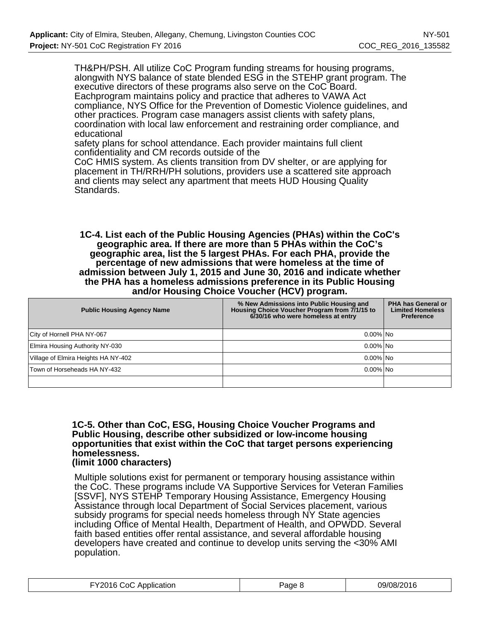TH&PH/PSH. All utilize CoC Program funding streams for housing programs, alongwith NYS balance of state blended ESG in the STEHP grant program. The executive directors of these programs also serve on the CoC Board. Eachprogram maintains policy and practice that adheres to VAWA Act compliance, NYS Office for the Prevention of Domestic Violence guidelines, and other practices. Program case managers assist clients with safety plans, coordination with local law enforcement and restraining order compliance, and educational

safety plans for school attendance. Each provider maintains full client confidentiality and CM records outside of the

CoC HMIS system. As clients transition from DV shelter, or are applying for placement in TH/RRH/PH solutions, providers use a scattered site approach and clients may select any apartment that meets HUD Housing Quality Standards.

**1C-4. List each of the Public Housing Agencies (PHAs) within the CoC's geographic area. If there are more than 5 PHAs within the CoC's geographic area, list the 5 largest PHAs. For each PHA, provide the percentage of new admissions that were homeless at the time of admission between July 1, 2015 and June 30, 2016 and indicate whether the PHA has a homeless admissions preference in its Public Housing and/or Housing Choice Voucher (HCV) program.**

| <b>Public Housing Agency Name</b>   | % New Admissions into Public Housing and<br>Housing Choice Voucher Program from 7/1/15 to<br>6/30/16 who were homeless at entry | PHA has General or<br><b>Limited Homeless</b><br><b>Preference</b> |
|-------------------------------------|---------------------------------------------------------------------------------------------------------------------------------|--------------------------------------------------------------------|
| City of Hornell PHA NY-067          | $0.00\%$   No                                                                                                                   |                                                                    |
| Elmira Housing Authority NY-030     | $0.00\%$   No                                                                                                                   |                                                                    |
| Village of Elmira Heights HA NY-402 | $0.00\%$   No                                                                                                                   |                                                                    |
| Town of Horseheads HA NY-432        | $0.00\%$   No                                                                                                                   |                                                                    |
|                                     |                                                                                                                                 |                                                                    |

## **1C-5. Other than CoC, ESG, Housing Choice Voucher Programs and Public Housing, describe other subsidized or low-income housing opportunities that exist within the CoC that target persons experiencing homelessness.**

## **(limit 1000 characters)**

Multiple solutions exist for permanent or temporary housing assistance within the CoC. These programs include VA Supportive Services for Veteran Families [SSVF], NYS STEHP Temporary Housing Assistance, Emergency Housing Assistance through local Department of Social Services placement, various subsidy programs for special needs homeless through NY State agencies including Office of Mental Health, Department of Health, and OPWDD. Several faith based entities offer rental assistance, and several affordable housing developers have created and continue to develop units serving the <30% AMI population.

| FY2016 CoC Application | Page 8 | 09/08/2016 |
|------------------------|--------|------------|
|------------------------|--------|------------|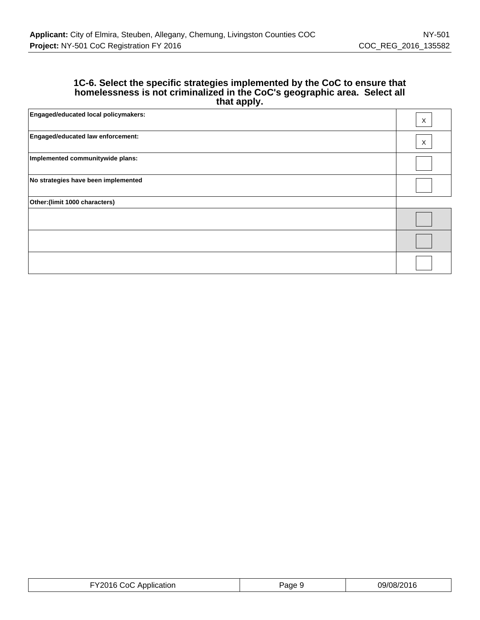### **1C-6. Select the specific strategies implemented by the CoC to ensure that homelessness is not criminalized in the CoC's geographic area. Select all that apply.**

| <b>Engaged/educated local policymakers:</b> | X        |
|---------------------------------------------|----------|
| Engaged/educated law enforcement:           | $\times$ |
| Implemented communitywide plans:            |          |
| No strategies have been implemented         |          |
| Other: (limit 1000 characters)              |          |
|                                             |          |
|                                             |          |
|                                             |          |

| FY2016 CoC Application | Page 9 | 09/08/2016 |
|------------------------|--------|------------|
|------------------------|--------|------------|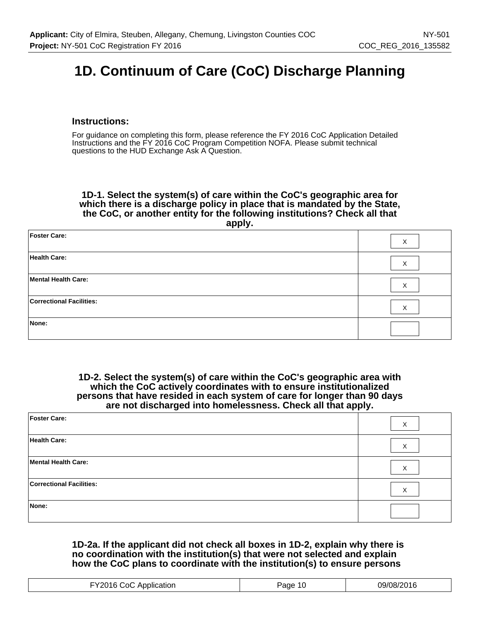# **1D. Continuum of Care (CoC) Discharge Planning**

## **Instructions:**

For guidance on completing this form, please reference the FY 2016 CoC Application Detailed Instructions and the FY 2016 CoC Program Competition NOFA. Please submit technical questions to the HUD Exchange Ask A Question.

**1D-1. Select the system(s) of care within the CoC's geographic area for which there is a discharge policy in place that is mandated by the State, the CoC, or another entity for the following institutions? Check all that apply.**

| <b>Foster Care:</b>             | Χ |
|---------------------------------|---|
| <b>Health Care:</b>             | X |
| Mental Health Care:             | X |
| <b>Correctional Facilities:</b> | X |
| None:                           |   |

**1D-2. Select the system(s) of care within the CoC's geographic area with which the CoC actively coordinates with to ensure institutionalized persons that have resided in each system of care for longer than 90 days are not discharged into homelessness. Check all that apply.**

| <b>Foster Care:</b>             | X |
|---------------------------------|---|
| <b>Health Care:</b>             | X |
| Mental Health Care:             | X |
| <b>Correctional Facilities:</b> | X |
| None:                           |   |

#### **1D-2a. If the applicant did not check all boxes in 1D-2, explain why there is no coordination with the institution(s) that were not selected and explain how the CoC plans to coordinate with the institution(s) to ensure persons**

| 1707<br>∴∩<br>Application<br>. 197<br>. . 187<br>age<br>. .<br>. |  |
|------------------------------------------------------------------|--|
|------------------------------------------------------------------|--|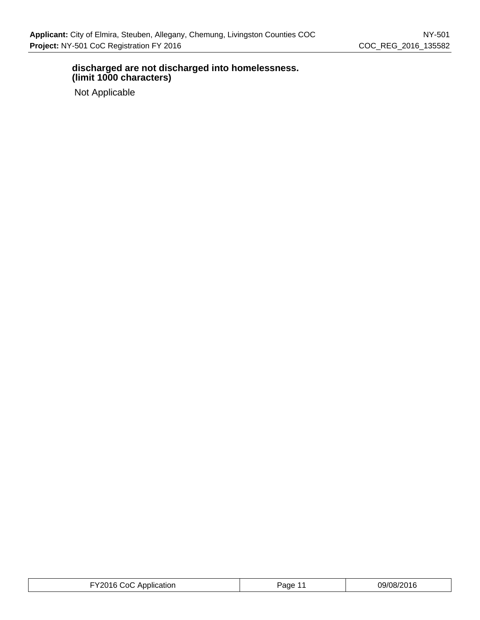## **discharged are not discharged into homelessness. (limit 1000 characters)**

Not Applicable

| FY2016 CoC Application | Page | 09/08/2016 |
|------------------------|------|------------|
|------------------------|------|------------|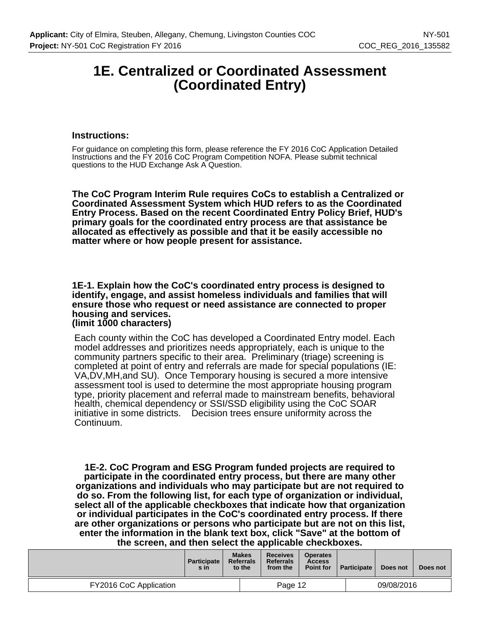## **1E. Centralized or Coordinated Assessment (Coordinated Entry)**

#### **Instructions:**

For guidance on completing this form, please reference the FY 2016 CoC Application Detailed Instructions and the FY 2016 CoC Program Competition NOFA. Please submit technical questions to the HUD Exchange Ask A Question.

**The CoC Program Interim Rule requires CoCs to establish a Centralized or Coordinated Assessment System which HUD refers to as the Coordinated Entry Process. Based on the recent Coordinated Entry Policy Brief, HUD's primary goals for the coordinated entry process are that assistance be allocated as effectively as possible and that it be easily accessible no matter where or how people present for assistance.**

**1E-1. Explain how the CoC's coordinated entry process is designed to identify, engage, and assist homeless individuals and families that will ensure those who request or need assistance are connected to proper housing and services. (limit 1000 characters)**

Each county within the CoC has developed a Coordinated Entry model. Each model addresses and prioritizes needs appropriately, each is unique to the community partners specific to their area. Preliminary (triage) screening is completed at point of entry and referrals are made for special populations (IE: VA,DV,MH,and SU). Once Temporary housing is secured a more intensive assessment tool is used to determine the most appropriate housing program type, priority placement and referral made to mainstream benefits, behavioral health, chemical dependency or SSI/SSD eligibility using the CoC SOAR initiative in some districts. Decision trees ensure uniformity across the Continuum.

**1E-2. CoC Program and ESG Program funded projects are required to participate in the coordinated entry process, but there are many other organizations and individuals who may participate but are not required to do so. From the following list, for each type of organization or individual, select all of the applicable checkboxes that indicate how that organization or individual participates in the CoC's coordinated entry process. If there are other organizations or persons who participate but are not on this list, enter the information in the blank text box, click "Save" at the bottom of the screen, and then select the applicable checkboxes.**

|                        | <b>Participate</b><br>s in | <b>Makes</b><br><b>Referrals</b><br>to the |         | <b>Receives</b><br><b>Referrals</b><br>from the | <b>Operates</b><br><b>Access</b><br><b>Point for</b> | <b>Participate</b> | Does not | Does not |
|------------------------|----------------------------|--------------------------------------------|---------|-------------------------------------------------|------------------------------------------------------|--------------------|----------|----------|
| FY2016 CoC Application |                            |                                            | Page 12 |                                                 |                                                      | 09/08/2016         |          |          |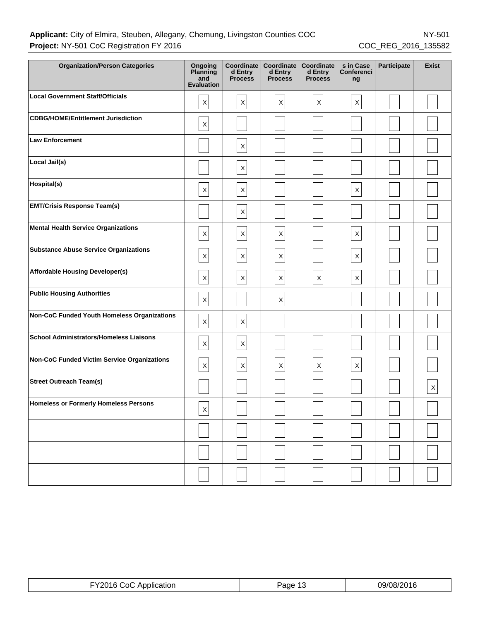## Applicant: City of Elmira, Steuben, Allegany, Chemung, Livingston Counties COC NY-501 **Project:** NY-501 CoC Registration FY 2016 COC\_REG\_2016\_135582

| <b>Organization/Person Categories</b>              | Ongoing<br>Planning<br>and<br><b>Evaluation</b> | Coordinate<br>d Entry<br><b>Process</b> | Coordinate<br>d Entry<br><b>Process</b> | Coordinate<br>d Entry<br><b>Process</b> | s in Case<br>Conferenci<br>ng | <b>Participate</b> | <b>Exist</b> |
|----------------------------------------------------|-------------------------------------------------|-----------------------------------------|-----------------------------------------|-----------------------------------------|-------------------------------|--------------------|--------------|
| <b>Local Government Staff/Officials</b>            | X                                               | $\mathsf{X}$                            | $\boldsymbol{\mathsf{X}}$               | $\mathsf X$                             | $\mathsf X$                   |                    |              |
| <b>CDBG/HOME/Entitlement Jurisdiction</b>          | X                                               |                                         |                                         |                                         |                               |                    |              |
| <b>Law Enforcement</b>                             |                                                 | $\mathsf X$                             |                                         |                                         |                               |                    |              |
| Local Jail(s)                                      |                                                 | $\boldsymbol{\mathsf{X}}$               |                                         |                                         |                               |                    |              |
| Hospital(s)                                        | X                                               | $\mathsf X$                             |                                         |                                         | $\mathsf X$                   |                    |              |
| <b>EMT/Crisis Response Team(s)</b>                 |                                                 | $\mathsf X$                             |                                         |                                         |                               |                    |              |
| <b>Mental Health Service Organizations</b>         | $\mathsf X$                                     | X                                       | $\boldsymbol{\mathsf{X}}$               |                                         | $\mathsf X$                   |                    |              |
| <b>Substance Abuse Service Organizations</b>       | $\mathsf X$                                     | $\mathsf X$                             | $\mathsf X$                             |                                         | $\mathsf X$                   |                    |              |
| <b>Affordable Housing Developer(s)</b>             | $\mathsf X$                                     | $\mathsf X$                             | $\mathsf X$                             | $\boldsymbol{\mathsf{X}}$               | $\mathsf X$                   |                    |              |
| <b>Public Housing Authorities</b>                  | $\mathsf X$                                     |                                         | $\boldsymbol{\mathsf{X}}$               |                                         |                               |                    |              |
| Non-CoC Funded Youth Homeless Organizations        | $\mathsf X$                                     | $\mathsf X$                             |                                         |                                         |                               |                    |              |
| <b>School Administrators/Homeless Liaisons</b>     | $\mathsf X$                                     | $\mathsf X$                             |                                         |                                         |                               |                    |              |
| <b>Non-CoC Funded Victim Service Organizations</b> | $\mathsf X$                                     | $\mathsf{X}$                            | $\boldsymbol{\mathsf{X}}$               | $\boldsymbol{\mathsf{X}}$               | $\boldsymbol{\mathsf{X}}$     |                    |              |
| <b>Street Outreach Team(s)</b>                     |                                                 |                                         |                                         |                                         |                               |                    | $\mathsf X$  |
| <b>Homeless or Formerly Homeless Persons</b>       | $\mathsf{x}$<br>$\mathbf{r}$                    |                                         |                                         |                                         |                               |                    |              |
|                                                    |                                                 |                                         |                                         |                                         |                               |                    |              |
|                                                    |                                                 |                                         |                                         |                                         |                               |                    |              |
|                                                    |                                                 |                                         |                                         |                                         |                               |                    |              |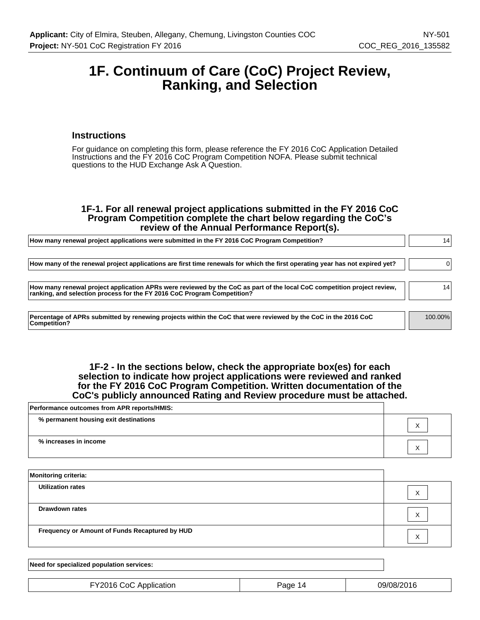## **1F. Continuum of Care (CoC) Project Review, Ranking, and Selection**

#### **Instructions**

For guidance on completing this form, please reference the FY 2016 CoC Application Detailed Instructions and the FY 2016 CoC Program Competition NOFA. Please submit technical questions to the HUD Exchange Ask A Question.

#### **1F-1. For all renewal project applications submitted in the FY 2016 CoC Program Competition complete the chart below regarding the CoC's review of the Annual Performance Report(s).**

| How many renewal project applications were submitted in the FY 2016 CoC Program Competition?                                                                                                       | 14              |
|----------------------------------------------------------------------------------------------------------------------------------------------------------------------------------------------------|-----------------|
| How many of the renewal project applications are first time renewals for which the first operating year has not expired yet?                                                                       |                 |
| How many renewal project application APRs were reviewed by the CoC as part of the local CoC competition project review,<br>ranking, and selection process for the FY 2016 CoC Program Competition? | 14 <sub>1</sub> |
| Percentage of APRs submitted by renewing projects within the CoC that were reviewed by the CoC in the 2016 CoC<br><b>Competition?</b>                                                              | 100.00%         |

#### **1F-2 - In the sections below, check the appropriate box(es) for each selection to indicate how project applications were reviewed and ranked for the FY 2016 CoC Program Competition. Written documentation of the CoC's publicly announced Rating and Review procedure must be attached.**

| Performance outcomes from APR reports/HMIS: |                        |
|---------------------------------------------|------------------------|
| % permanent housing exit destinations       | ⌒                      |
| % increases in income                       | $\sqrt{}$<br>$\lambda$ |

| <b>Monitoring criteria:</b>                    |                   |
|------------------------------------------------|-------------------|
| <b>Utilization rates</b>                       | X                 |
| <b>Drawdown rates</b>                          | $\checkmark$<br>⋏ |
| Frequency or Amount of Funds Recaptured by HUD | $\checkmark$<br>⋏ |

| Need for specialized population services: |         |            |
|-------------------------------------------|---------|------------|
| FY2016 CoC Application                    | Page 14 | 09/08/2016 |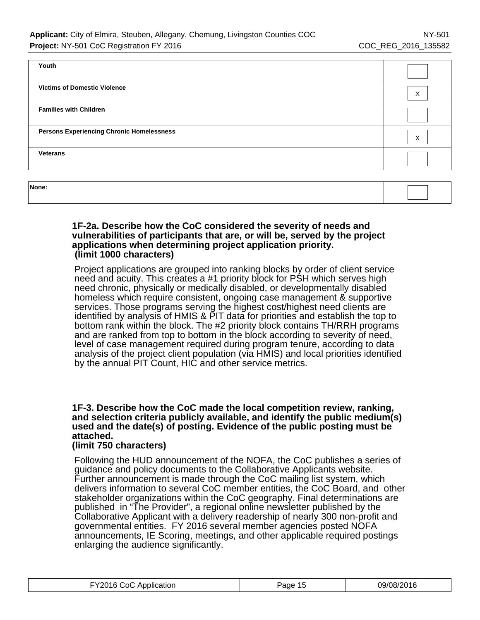| Youth                                            |                   |
|--------------------------------------------------|-------------------|
| <b>Victims of Domestic Violence</b>              | X                 |
| <b>Families with Children</b>                    |                   |
| <b>Persons Experiencing Chronic Homelessness</b> | $\checkmark$<br>ᄉ |
| <b>Veterans</b>                                  |                   |
|                                                  |                   |

| None: |  |
|-------|--|
|       |  |

#### **1F-2a. Describe how the CoC considered the severity of needs and vulnerabilities of participants that are, or will be, served by the project applications when determining project application priority. (limit 1000 characters)**

Project applications are grouped into ranking blocks by order of client service need and acuity. This creates a #1 priority block for PSH which serves high need chronic, physically or medically disabled, or developmentally disabled homeless which require consistent, ongoing case management & supportive services. Those programs serving the highest cost/highest need clients are identified by analysis of HMIS & PIT data for priorities and establish the top to bottom rank within the block. The #2 priority block contains TH/RRH programs and are ranked from top to bottom in the block according to severity of need, level of case management required during program tenure, according to data analysis of the project client population (via HMIS) and local priorities identified by the annual PIT Count, HIC and other service metrics.

## **1F-3. Describe how the CoC made the local competition review, ranking, and selection criteria publicly available, and identify the public medium(s) used and the date(s) of posting. Evidence of the public posting must be attached.**

## **(limit 750 characters)**

Following the HUD announcement of the NOFA, the CoC publishes a series of guidance and policy documents to the Collaborative Applicants website. Further announcement is made through the CoC mailing list system, which delivers information to several CoC member entities, the CoC Board, and other stakeholder organizations within the CoC geography. Final determinations are published in "The Provider", a regional online newsletter published by the Collaborative Applicant with a delivery readership of nearly 300 non-profit and governmental entities. FY 2016 several member agencies posted NOFA announcements, IE Scoring, meetings, and other applicable required postings enlarging the audience significantly.

| FY2016 CoC Application | Page 15 | 09/08/2016 |
|------------------------|---------|------------|
|------------------------|---------|------------|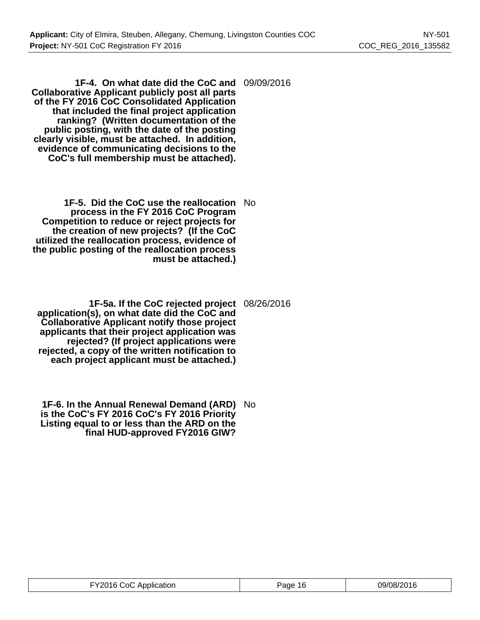**1F-4. On what date did the CoC and** 09/09/2016 **Collaborative Applicant publicly post all parts of the FY 2016 CoC Consolidated Application that included the final project application ranking? (Written documentation of the public posting, with the date of the posting clearly visible, must be attached. In addition, evidence of communicating decisions to the CoC's full membership must be attached).**

- **1F-5. Did the CoC use the reallocation** No **process in the FY 2016 CoC Program Competition to reduce or reject projects for the creation of new projects? (If the CoC utilized the reallocation process, evidence of the public posting of the reallocation process must be attached.)**
- **1F-5a. If the CoC rejected project application(s), on what date did the CoC and Collaborative Applicant notify those project applicants that their project application was rejected? (If project applications were rejected, a copy of the written notification to each project applicant must be attached.)** 08/26/2016
- **1F-6. In the Annual Renewal Demand (ARD)** No **is the CoC's FY 2016 CoC's FY 2016 Priority Listing equal to or less than the ARD on the final HUD-approved FY2016 GIW?**

| FY2016 CoC Application | Page 16 | 09/08/2016 |
|------------------------|---------|------------|
|------------------------|---------|------------|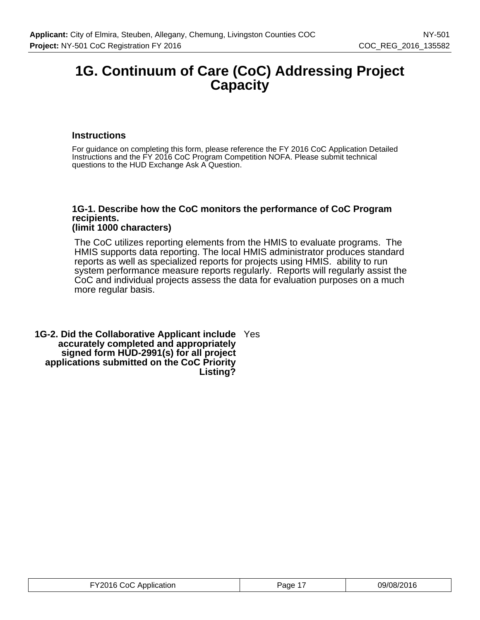## **1G. Continuum of Care (CoC) Addressing Project Capacity**

## **Instructions**

For guidance on completing this form, please reference the FY 2016 CoC Application Detailed Instructions and the FY 2016 CoC Program Competition NOFA. Please submit technical questions to the HUD Exchange Ask A Question.

#### **1G-1. Describe how the CoC monitors the performance of CoC Program recipients. (limit 1000 characters)**

The CoC utilizes reporting elements from the HMIS to evaluate programs. The HMIS supports data reporting. The local HMIS administrator produces standard reports as well as specialized reports for projects using HMIS. ability to run system performance measure reports regularly. Reports will regularly assist the CoC and individual projects assess the data for evaluation purposes on a much more regular basis.

**1G-2. Did the Collaborative Applicant include** Yes **accurately completed and appropriately signed form HUD-2991(s) for all project applications submitted on the CoC Priority Listing?**

| FY2016 CoC Application | Page 1 | 09/08/2016 |
|------------------------|--------|------------|
|------------------------|--------|------------|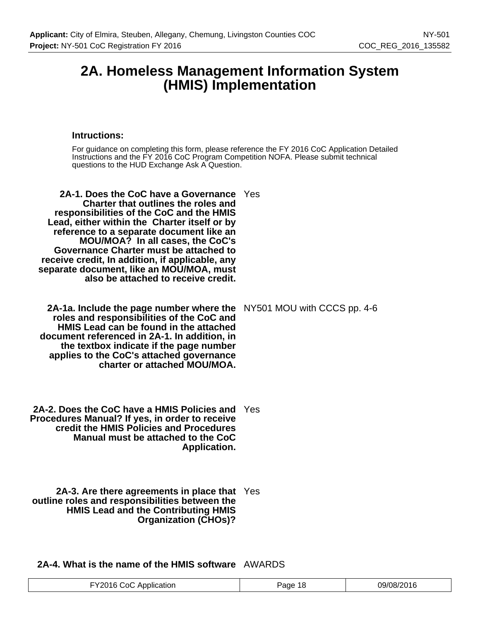## **2A. Homeless Management Information System (HMIS) Implementation**

#### **Intructions:**

For guidance on completing this form, please reference the FY 2016 CoC Application Detailed Instructions and the FY 2016 CoC Program Competition NOFA. Please submit technical questions to the HUD Exchange Ask A Question.

|  | 2A-1. Does the CoC have a Governance Yes<br><b>Charter that outlines the roles and</b><br>responsibilities of the CoC and the HMIS<br>Lead, either within the Charter itself or by<br>reference to a separate document like an<br>MOU/MOA? In all cases, the CoC's<br>Governance Charter must be attached to<br>receive credit, In addition, if applicable, any<br>separate document, like an MOU/MOA, must<br>also be attached to receive credit. |  |
|--|----------------------------------------------------------------------------------------------------------------------------------------------------------------------------------------------------------------------------------------------------------------------------------------------------------------------------------------------------------------------------------------------------------------------------------------------------|--|
|--|----------------------------------------------------------------------------------------------------------------------------------------------------------------------------------------------------------------------------------------------------------------------------------------------------------------------------------------------------------------------------------------------------------------------------------------------------|--|

**2A-1a. Include the page number where the** NY501 MOU with CCCS pp. 4-6 **roles and responsibilities of the CoC and HMIS Lead can be found in the attached document referenced in 2A-1. In addition, in the textbox indicate if the page number applies to the CoC's attached governance charter or attached MOU/MOA.**

**2A-2. Does the CoC have a HMIS Policies and** Yes **Procedures Manual? If yes, in order to receive credit the HMIS Policies and Procedures Manual must be attached to the CoC Application.**

**2A-3. Are there agreements in place that** Yes **outline roles and responsibilities between the HMIS Lead and the Contributing HMIS Organization (CHOs)?**

**2A-4. What is the name of the HMIS software** AWARDS

| V2016.<br>Application<br>∴∩∩<br>$\cdots$ | age<br>ୀ ଧ | 09/08/2016 |
|------------------------------------------|------------|------------|
|------------------------------------------|------------|------------|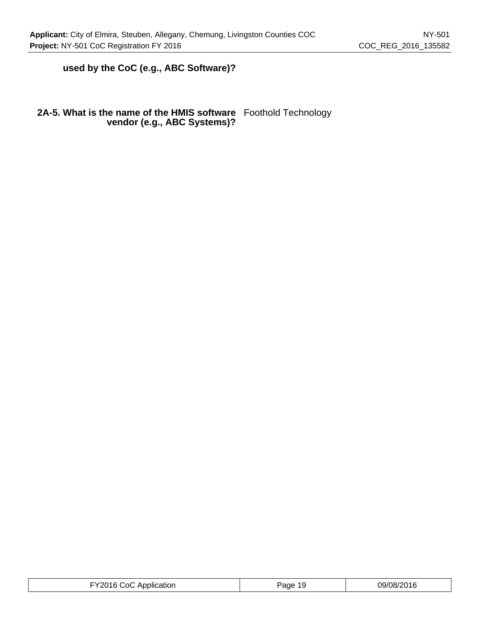## **used by the CoC (e.g., ABC Software)?**

#### **2A-5. What is the name of the HMIS software vendor (e.g., ABC Systems)?** Foothold Technology

| FY2016 CoC Application | Page 19 | 09/08/2016 |
|------------------------|---------|------------|
|------------------------|---------|------------|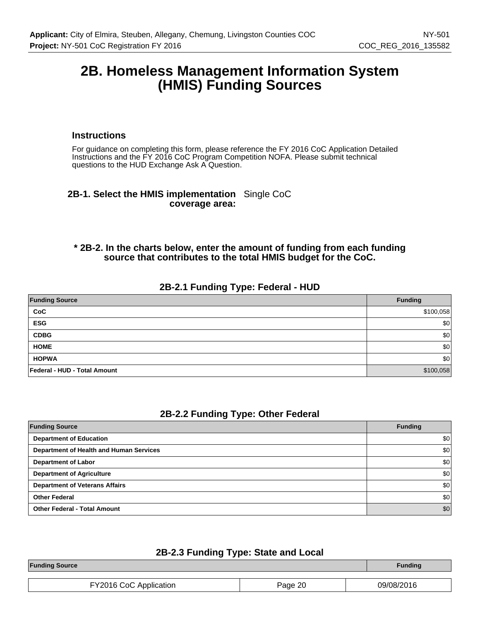## **2B. Homeless Management Information System (HMIS) Funding Sources**

#### **Instructions**

For guidance on completing this form, please reference the FY 2016 CoC Application Detailed Instructions and the FY 2016 CoC Program Competition NOFA. Please submit technical questions to the HUD Exchange Ask A Question.

## **2B-1. Select the HMIS implementation** Single CoC **coverage area:**

## **\* 2B-2. In the charts below, enter the amount of funding from each funding source that contributes to the total HMIS budget for the CoC.**

## **2B-2.1 Funding Type: Federal - HUD**

| <b>Funding Source</b>        | <b>Funding</b> |
|------------------------------|----------------|
| CoC                          | \$100,058      |
| <b>ESG</b>                   | \$0            |
| <b>CDBG</b>                  | \$0            |
| <b>HOME</b>                  | \$0            |
| <b>HOPWA</b>                 | \$0            |
| Federal - HUD - Total Amount | \$100,058      |

#### **2B-2.2 Funding Type: Other Federal**

| <b>Funding Source</b>                   | <b>Funding</b>   |
|-----------------------------------------|------------------|
| <b>Department of Education</b>          | \$0              |
| Department of Health and Human Services | \$0              |
| <b>Department of Labor</b>              | \$0              |
| <b>Department of Agriculture</b>        | \$0              |
| <b>Department of Veterans Affairs</b>   | \$0 <sub>1</sub> |
| <b>Other Federal</b>                    | \$0              |
| <b>Other Federal - Total Amount</b>     | \$0              |

## **2B-2.3 Funding Type: State and Local**

| <b>Funding Source</b>  |         | <b>Funding</b> |
|------------------------|---------|----------------|
|                        |         |                |
| FY2016 CoC Application | Page 20 | 09/08/2016     |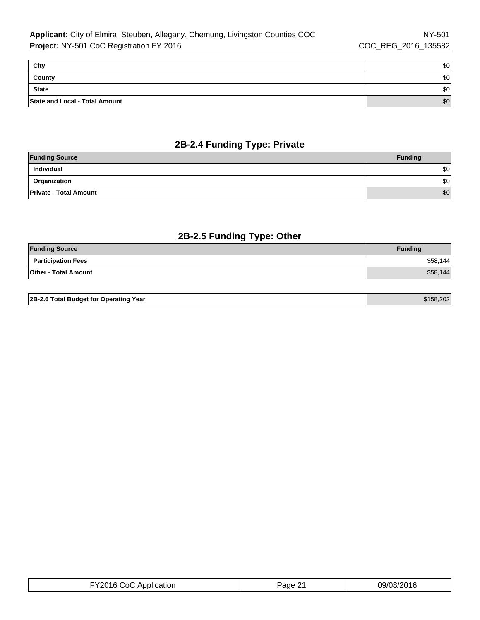| City                           | \$0 |
|--------------------------------|-----|
| County                         | \$0 |
| <b>State</b>                   | \$0 |
| State and Local - Total Amount | \$0 |

## **2B-2.4 Funding Type: Private**

| <b>Funding Source</b>         | <b>Funding</b> |
|-------------------------------|----------------|
| Individual                    | \$0            |
| Organization                  | \$0            |
| <b>Private - Total Amount</b> | \$0            |

## **2B-2.5 Funding Type: Other**

| <b>Funding Source</b>       | <b>Funding</b> |
|-----------------------------|----------------|
| <b>Participation Fees</b>   | \$58,144       |
| <b>Other - Total Amount</b> | \$58,144       |

| FY2016 CoC Application | Page 21 | 09/08/2016 |
|------------------------|---------|------------|
|------------------------|---------|------------|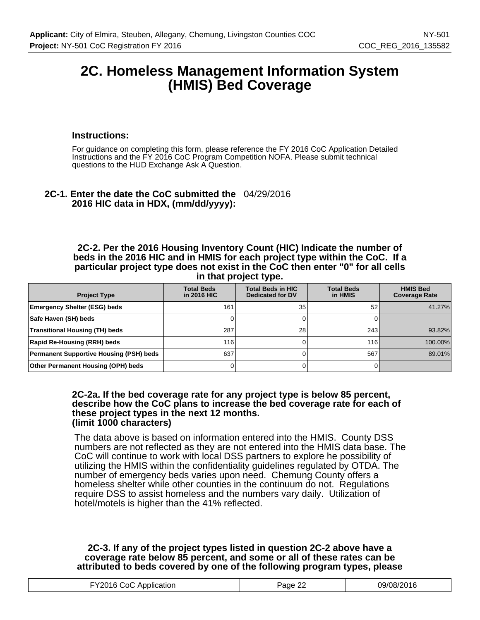## **2C. Homeless Management Information System (HMIS) Bed Coverage**

#### **Instructions:**

For guidance on completing this form, please reference the FY 2016 CoC Application Detailed Instructions and the FY 2016 CoC Program Competition NOFA. Please submit technical questions to the HUD Exchange Ask A Question.

## **2C-1. Enter the date the CoC submitted the** 04/29/2016 **2016 HIC data in HDX, (mm/dd/yyyy):**

**2C-2. Per the 2016 Housing Inventory Count (HIC) Indicate the number of beds in the 2016 HIC and in HMIS for each project type within the CoC. If a particular project type does not exist in the CoC then enter "0" for all cells in that project type.**

| <b>Project Type</b>                            | <b>Total Beds</b><br>in 2016 HIC | <b>Total Beds in HIC</b><br><b>Dedicated for DV</b> | <b>Total Beds</b><br>in HMIS | <b>HMIS Bed</b><br><b>Coverage Rate</b> |
|------------------------------------------------|----------------------------------|-----------------------------------------------------|------------------------------|-----------------------------------------|
| <b>Emergency Shelter (ESG) beds</b>            | 161                              | 35                                                  | 52                           | 41.27%                                  |
| Safe Haven (SH) beds                           |                                  |                                                     |                              |                                         |
| <b>Transitional Housing (TH) beds</b>          | 287                              | 28                                                  | 243                          | 93.82%                                  |
| <b>Rapid Re-Housing (RRH) beds</b>             | 116                              |                                                     | 116                          | 100.00%                                 |
| <b>Permanent Supportive Housing (PSH) beds</b> | 637                              |                                                     | 567                          | 89.01%                                  |
| Other Permanent Housing (OPH) beds             |                                  |                                                     |                              |                                         |

#### **2C-2a. If the bed coverage rate for any project type is below 85 percent, describe how the CoC plans to increase the bed coverage rate for each of these project types in the next 12 months. (limit 1000 characters)**

The data above is based on information entered into the HMIS. County DSS numbers are not reflected as they are not entered into the HMIS data base. The CoC will continue to work with local DSS partners to explore he possibility of utilizing the HMIS within the confidentiality guidelines regulated by OTDA. The number of emergency beds varies upon need. Chemung County offers a homeless shelter while other counties in the continuum do not. Regulations require DSS to assist homeless and the numbers vary daily. Utilization of hotel/motels is higher than the 41% reflected.

## **2C-3. If any of the project types listed in question 2C-2 above have a coverage rate below 85 percent, and some or all of these rates can be attributed to beds covered by one of the following program types, please**

| FY2016 CoC Application | Page 22 | 09/08/2016 |
|------------------------|---------|------------|
|------------------------|---------|------------|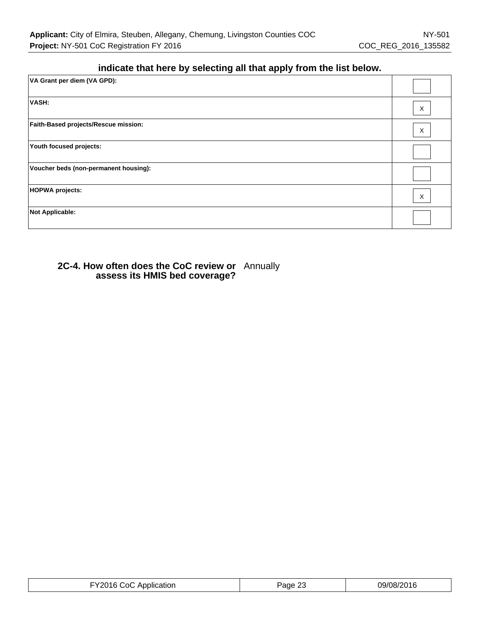## **indicate that here by selecting all that apply from the list below.**

| VA Grant per diem (VA GPD):           |   |
|---------------------------------------|---|
| VASH:                                 | Χ |
| Faith-Based projects/Rescue mission:  | X |
| Youth focused projects:               |   |
| Voucher beds (non-permanent housing): |   |
| <b>HOPWA projects:</b>                | X |
| <b>Not Applicable:</b>                |   |

## **2C-4. How often does the CoC review or** Annually **assess its HMIS bed coverage?**

| FY2016 CoC Application | Page 23 | 09/08/2016 |
|------------------------|---------|------------|
|------------------------|---------|------------|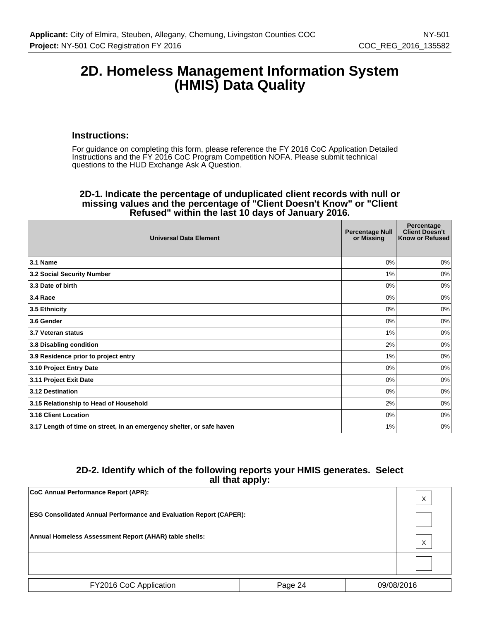## **2D. Homeless Management Information System (HMIS) Data Quality**

#### **Instructions:**

For guidance on completing this form, please reference the FY 2016 CoC Application Detailed Instructions and the FY 2016 CoC Program Competition NOFA. Please submit technical questions to the HUD Exchange Ask A Question.

#### **2D-1. Indicate the percentage of unduplicated client records with null or missing values and the percentage of "Client Doesn't Know" or "Client Refused" within the last 10 days of January 2016.**

| <b>Universal Data Element</b>                                         | <b>Percentage Null</b><br>or Missing | Percentage<br><b>Client Doesn't</b><br>Know or Refused |
|-----------------------------------------------------------------------|--------------------------------------|--------------------------------------------------------|
| 3.1 Name                                                              | 0%                                   | 0%                                                     |
| 3.2 Social Security Number                                            | 1%                                   | 0%                                                     |
| 3.3 Date of birth                                                     | $0\%$                                | $0\%$                                                  |
| 3.4 Race                                                              | $0\%$                                | 0%                                                     |
| 3.5 Ethnicity                                                         | 0%                                   | 0%                                                     |
| 3.6 Gender                                                            | $0\%$                                | 0%                                                     |
| 3.7 Veteran status                                                    | 1%                                   | 0%                                                     |
| 3.8 Disabling condition                                               | 2%                                   | 0%                                                     |
| 3.9 Residence prior to project entry                                  | 1%                                   | 0%                                                     |
| 3.10 Project Entry Date                                               | 0%                                   | 0%                                                     |
| 3.11 Project Exit Date                                                | 0%                                   | 0%                                                     |
| 3.12 Destination                                                      | 0%                                   | 0%                                                     |
| 3.15 Relationship to Head of Household                                | 2%                                   | 0%                                                     |
| 3.16 Client Location                                                  | 0%                                   | 0%                                                     |
| 3.17 Length of time on street, in an emergency shelter, or safe haven | 1%                                   | 0%                                                     |

## **2D-2. Identify which of the following reports your HMIS generates. Select all that apply:**

| CoC Annual Performance Report (APR):                                      |         |  | X          |
|---------------------------------------------------------------------------|---------|--|------------|
| <b>ESG Consolidated Annual Performance and Evaluation Report (CAPER):</b> |         |  |            |
| Annual Homeless Assessment Report (AHAR) table shells:                    |         |  | X          |
|                                                                           |         |  |            |
| FY2016 CoC Application                                                    | Page 24 |  | 09/08/2016 |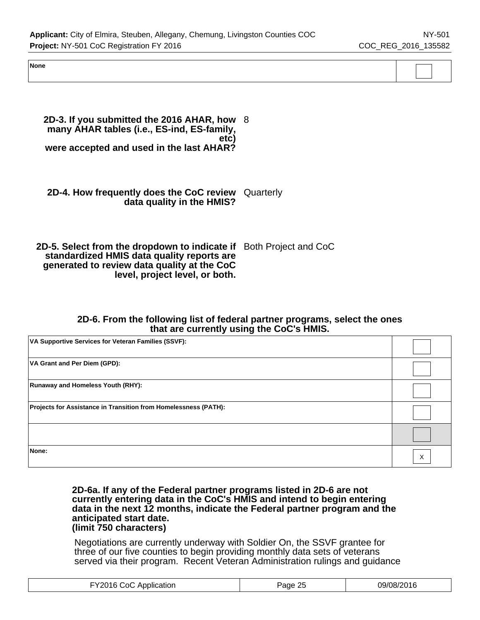**None**

**2D-3. If you submitted the 2016 AHAR, how** 8 **many AHAR tables (i.e., ES-ind, ES-family, etc) were accepted and used in the last AHAR?**

## **2D-4. How frequently does the CoC review** Quarterly **data quality in the HMIS?**

#### **2D-5. Select from the dropdown to indicate if** Both Project and CoC **standardized HMIS data quality reports are generated to review data quality at the CoC level, project level, or both.**

## **2D-6. From the following list of federal partner programs, select the ones that are currently using the CoC's HMIS.**

| VA Supportive Services for Veteran Families (SSVF):             |   |
|-----------------------------------------------------------------|---|
| VA Grant and Per Diem (GPD):                                    |   |
| <b>Runaway and Homeless Youth (RHY):</b>                        |   |
| Projects for Assistance in Transition from Homelessness (PATH): |   |
|                                                                 |   |
| None:                                                           | X |

#### **2D-6a. If any of the Federal partner programs listed in 2D-6 are not currently entering data in the CoC's HMIS and intend to begin entering data in the next 12 months, indicate the Federal partner program and the anticipated start date. (limit 750 characters)**

Negotiations are currently underway with Soldier On, the SSVF grantee for three of our five counties to begin providing monthly data sets of veterans served via their program. Recent Veteran Administration rulings and guidance

| ാറ<br>Application<br>$      -$ | ane | 7016. |
|--------------------------------|-----|-------|
|--------------------------------|-----|-------|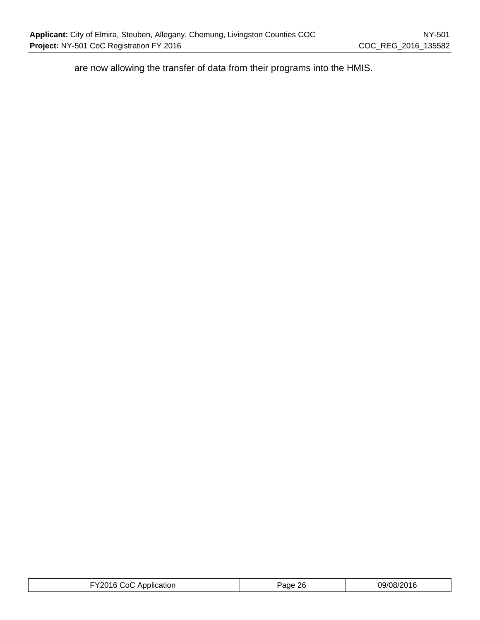are now allowing the transfer of data from their programs into the HMIS.

| FY2016 CoC Application | Page 26 | 09/08/2016 |
|------------------------|---------|------------|
|------------------------|---------|------------|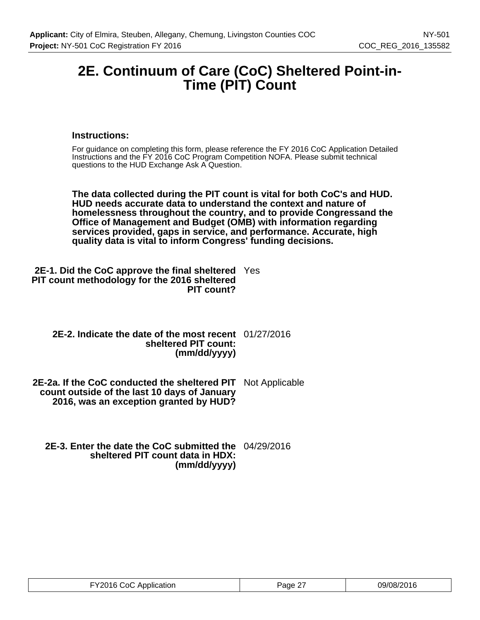## **2E. Continuum of Care (CoC) Sheltered Point-in-Time (PIT) Count**

## **Instructions:**

For guidance on completing this form, please reference the FY 2016 CoC Application Detailed Instructions and the FY 2016 CoC Program Competition NOFA. Please submit technical questions to the HUD Exchange Ask A Question.

**The data collected during the PIT count is vital for both CoC's and HUD. HUD needs accurate data to understand the context and nature of homelessness throughout the country, and to provide Congressand the Office of Management and Budget (OMB) with information regarding services provided, gaps in service, and performance. Accurate, high quality data is vital to inform Congress' funding decisions.**

| <b>2E-1. Did the CoC approve the final sheltered</b> Yes |  |
|----------------------------------------------------------|--|
| PIT count methodology for the 2016 sheltered             |  |
| PIT count?                                               |  |

| 2E-2. Indicate the date of the most recent 01/27/2016 |  |
|-------------------------------------------------------|--|
| sheltered PIT count:                                  |  |
| (mm/dd/yyyy)                                          |  |

**2E-2a. If the CoC conducted the sheltered PIT** Not Applicable **count outside of the last 10 days of January 2016, was an exception granted by HUD?**

**2E-3. Enter the date the CoC submitted the** 04/29/2016 **sheltered PIT count data in HDX: (mm/dd/yyyy)**

| FY2016 CoC Application | Page 27 | 09/08/2016 |
|------------------------|---------|------------|
|------------------------|---------|------------|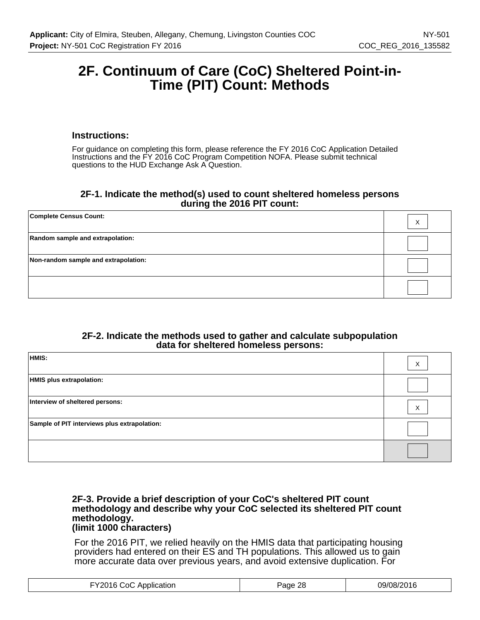## **2F. Continuum of Care (CoC) Sheltered Point-in-Time (PIT) Count: Methods**

#### **Instructions:**

For guidance on completing this form, please reference the FY 2016 CoC Application Detailed Instructions and the FY 2016 CoC Program Competition NOFA. Please submit technical questions to the HUD Exchange Ask A Question.

#### **2F-1. Indicate the method(s) used to count sheltered homeless persons during the 2016 PIT count:**

| <b>Complete Census Count:</b>        | X |
|--------------------------------------|---|
| Random sample and extrapolation:     |   |
| Non-random sample and extrapolation: |   |
|                                      |   |

#### **2F-2. Indicate the methods used to gather and calculate subpopulation data for sheltered homeless persons:**

| HMIS:                                        | X |
|----------------------------------------------|---|
| HMIS plus extrapolation:                     |   |
| Interview of sheltered persons:              | X |
| Sample of PIT interviews plus extrapolation: |   |
|                                              |   |

#### **2F-3. Provide a brief description of your CoC's sheltered PIT count methodology and describe why your CoC selected its sheltered PIT count methodology. (limit 1000 characters)**

For the 2016 PIT, we relied heavily on the HMIS data that participating housing providers had entered on their ES and TH populations. This allowed us to gain more accurate data over previous years, and avoid extensive duplication. For

| ി∩∶<br>Application | 28<br>aae<br>c. | 2016<br>הרזרי |
|--------------------|-----------------|---------------|
|--------------------|-----------------|---------------|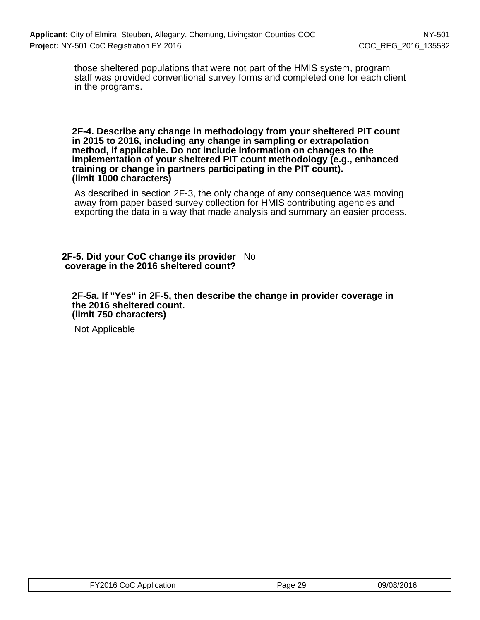those sheltered populations that were not part of the HMIS system, program staff was provided conventional survey forms and completed one for each client in the programs.

#### **2F-4. Describe any change in methodology from your sheltered PIT count in 2015 to 2016, including any change in sampling or extrapolation method, if applicable. Do not include information on changes to the implementation of your sheltered PIT count methodology (e.g., enhanced training or change in partners participating in the PIT count). (limit 1000 characters)**

As described in section 2F-3, the only change of any consequence was moving away from paper based survey collection for HMIS contributing agencies and exporting the data in a way that made analysis and summary an easier process.

#### **2F-5. Did your CoC change its provider** No **coverage in the 2016 sheltered count?**

**2F-5a. If "Yes" in 2F-5, then describe the change in provider coverage in the 2016 sheltered count. (limit 750 characters)**

Not Applicable

| FY2016 CoC Application | Page 29 | 09/08/2016 |
|------------------------|---------|------------|
|                        |         |            |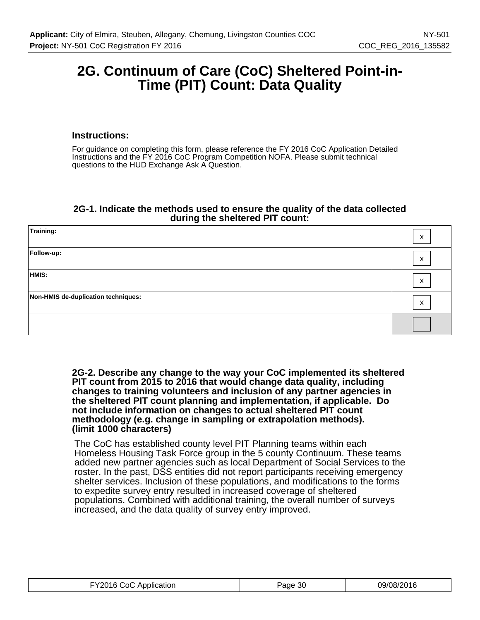## **2G. Continuum of Care (CoC) Sheltered Point-in-Time (PIT) Count: Data Quality**

## **Instructions:**

For guidance on completing this form, please reference the FY 2016 CoC Application Detailed Instructions and the FY 2016 CoC Program Competition NOFA. Please submit technical questions to the HUD Exchange Ask A Question.

## **2G-1. Indicate the methods used to ensure the quality of the data collected during the sheltered PIT count:**

| Training:                           | $\times$ |
|-------------------------------------|----------|
| Follow-up:                          | X        |
| HMIS:                               | $\times$ |
| Non-HMIS de-duplication techniques: | X        |
|                                     |          |

**2G-2. Describe any change to the way your CoC implemented its sheltered PIT count from 2015 to 2016 that would change data quality, including changes to training volunteers and inclusion of any partner agencies in the sheltered PIT count planning and implementation, if applicable. Do not include information on changes to actual sheltered PIT count methodology (e.g. change in sampling or extrapolation methods). (limit 1000 characters)**

The CoC has established county level PIT Planning teams within each Homeless Housing Task Force group in the 5 county Continuum. These teams added new partner agencies such as local Department of Social Services to the roster. In the past, DSS entities did not report participants receiving emergency shelter services. Inclusion of these populations, and modifications to the forms to expedite survey entry resulted in increased coverage of sheltered populations. Combined with additional training, the overall number of surveys increased, and the data quality of survey entry improved.

| FY2016 CoC Application | Page 30 | 09/08/2016 |
|------------------------|---------|------------|
|------------------------|---------|------------|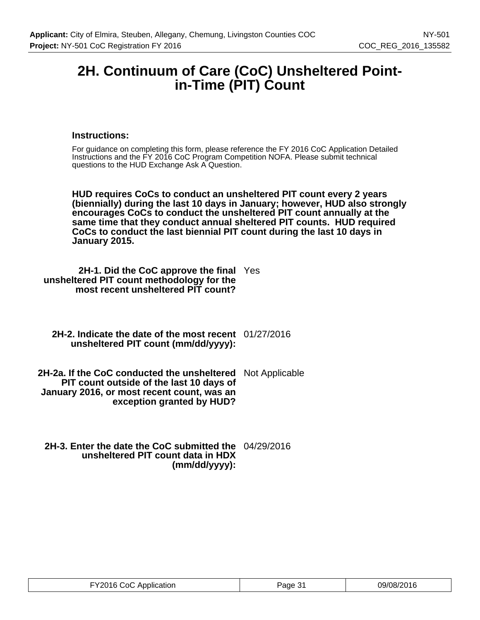## **2H. Continuum of Care (CoC) Unsheltered Pointin-Time (PIT) Count**

## **Instructions:**

For guidance on completing this form, please reference the FY 2016 CoC Application Detailed Instructions and the FY 2016 CoC Program Competition NOFA. Please submit technical questions to the HUD Exchange Ask A Question.

**HUD requires CoCs to conduct an unsheltered PIT count every 2 years (biennially) during the last 10 days in January; however, HUD also strongly encourages CoCs to conduct the unsheltered PIT count annually at the same time that they conduct annual sheltered PIT counts. HUD required CoCs to conduct the last biennial PIT count during the last 10 days in January 2015.**

**2H-1. Did the CoC approve the final** Yes **unsheltered PIT count methodology for the most recent unsheltered PIT count?**

**2H-2. Indicate the date of the most recent** 01/27/2016 **unsheltered PIT count (mm/dd/yyyy):**

**2H-2a. If the CoC conducted the unsheltered PIT count outside of the last 10 days of January 2016, or most recent count, was an exception granted by HUD?** Not Applicable

**2H-3. Enter the date the CoC submitted the** 04/29/2016 **unsheltered PIT count data in HDX (mm/dd/yyyy):**

| FY2016 CoC Application | Page 31 | 09/08/2016 |
|------------------------|---------|------------|
|------------------------|---------|------------|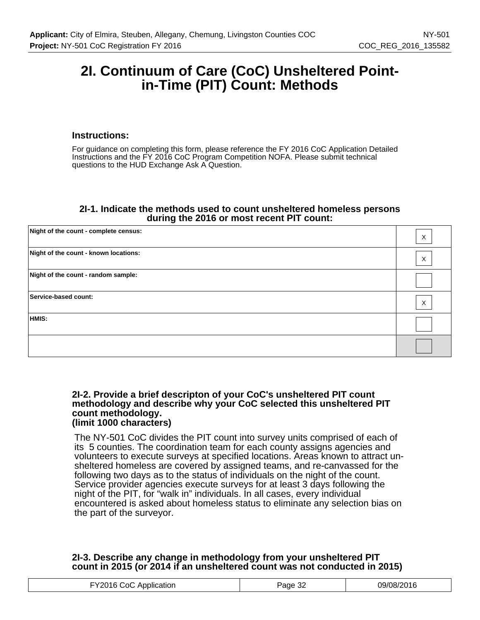## **2I. Continuum of Care (CoC) Unsheltered Pointin-Time (PIT) Count: Methods**

#### **Instructions:**

For guidance on completing this form, please reference the FY 2016 CoC Application Detailed Instructions and the FY 2016 CoC Program Competition NOFA. Please submit technical questions to the HUD Exchange Ask A Question.

#### **2I-1. Indicate the methods used to count unsheltered homeless persons during the 2016 or most recent PIT count:**

| Night of the count - complete census: | X           |
|---------------------------------------|-------------|
| Night of the count - known locations: | $\mathsf X$ |
| Night of the count - random sample:   |             |
| Service-based count:                  | X           |
| HMIS:                                 |             |
|                                       |             |

#### **2I-2. Provide a brief descripton of your CoC's unsheltered PIT count methodology and describe why your CoC selected this unsheltered PIT count methodology. (limit 1000 characters)**

The NY-501 CoC divides the PIT count into survey units comprised of each of its 5 counties. The coordination team for each county assigns agencies and volunteers to execute surveys at specified locations. Areas known to attract unsheltered homeless are covered by assigned teams, and re-canvassed for the following two days as to the status of individuals on the night of the count. Service provider agencies execute surveys for at least 3 days following the night of the PIT, for "walk in" individuals. In all cases, every individual encountered is asked about homeless status to eliminate any selection bias on the part of the surveyor.

## **2I-3. Describe any change in methodology from your unsheltered PIT count in 2015 (or 2014 if an unsheltered count was not conducted in 2015)**

| 09/08/2016<br>FY2016 CoC Application<br>oc<br>Page 3∠ |
|-------------------------------------------------------|
|-------------------------------------------------------|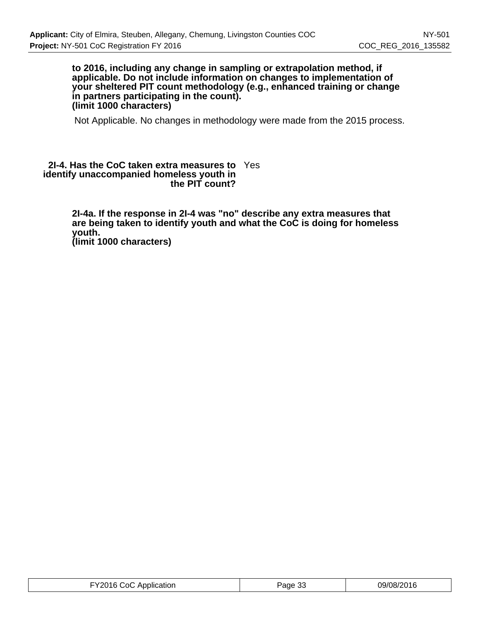#### **to 2016, including any change in sampling or extrapolation method, if applicable. Do not include information on changes to implementation of your sheltered PIT count methodology (e.g., enhanced training or change in partners participating in the count). (limit 1000 characters)**

Not Applicable. No changes in methodology were made from the 2015 process.

#### **2I-4. Has the CoC taken extra measures to** Yes **identify unaccompanied homeless youth in the PIT count?**

**2I-4a. If the response in 2I-4 was "no" describe any extra measures that are being taken to identify youth and what the CoC is doing for homeless youth. (limit 1000 characters)**

| FY2016 CoC Application | Page 33 | 09/08/2016 |
|------------------------|---------|------------|
|------------------------|---------|------------|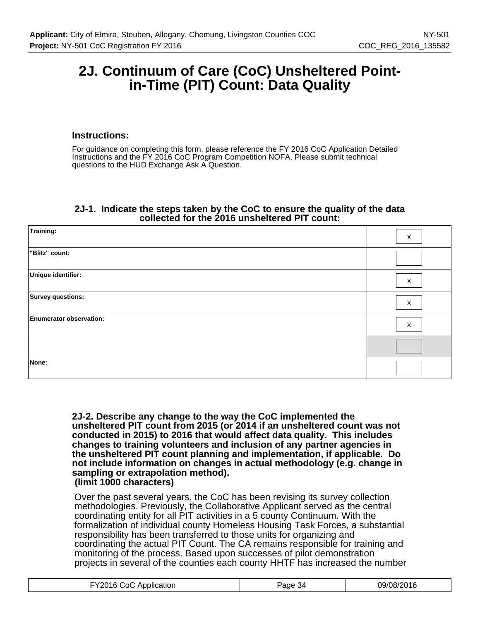## **2J. Continuum of Care (CoC) Unsheltered Pointin-Time (PIT) Count: Data Quality**

#### **Instructions:**

For guidance on completing this form, please reference the FY 2016 CoC Application Detailed Instructions and the FY 2016 CoC Program Competition NOFA. Please submit technical questions to the HUD Exchange Ask A Question.

#### **2J-1. Indicate the steps taken by the CoC to ensure the quality of the data collected for the 2016 unsheltered PIT count:**

| Training:                      | X            |
|--------------------------------|--------------|
| "Blitz" count:                 |              |
| Unique identifier:             | X            |
| Survey questions:              | $\mathsf{X}$ |
| <b>Enumerator observation:</b> | X            |
|                                |              |
| None:                          |              |

**2J-2. Describe any change to the way the CoC implemented the unsheltered PIT count from 2015 (or 2014 if an unsheltered count was not conducted in 2015) to 2016 that would affect data quality. This includes changes to training volunteers and inclusion of any partner agencies in the unsheltered PIT count planning and implementation, if applicable. Do not include information on changes in actual methodology (e.g. change in sampling or extrapolation method). (limit 1000 characters)**

Over the past several years, the CoC has been revising its survey collection methodologies. Previously, the Collaborative Applicant served as the central coordinating entity for all PIT activities in a 5 county Continuum. With the formalization of individual county Homeless Housing Task Forces, a substantial responsibility has been transferred to those units for organizing and coordinating the actual PIT Count. The CA remains responsible for training and monitoring of the process. Based upon successes of pilot demonstration projects in several of the counties each county HHTF has increased the number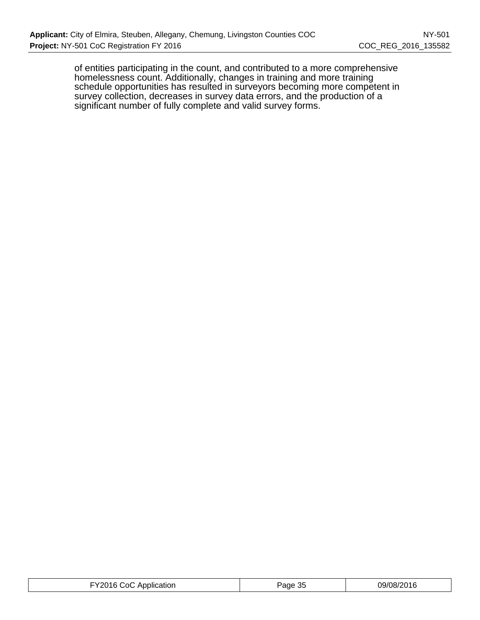of entities participating in the count, and contributed to a more comprehensive homelessness count. Additionally, changes in training and more training schedule opportunities has resulted in surveyors becoming more competent in survey collection, decreases in survey data errors, and the production of a significant number of fully complete and valid survey forms.

| --<br>، ۱۹۴<br>ാറ<br>9/08/2016<br>ЛC<br>'ane<br>Application<br>ت⊂ ∗<br>.<br>그 사람들은 그 사람들은 아이들이 아이들이 아이들이 아이들이 아이들이 없었다.<br>. |
|------------------------------------------------------------------------------------------------------------------------------|
|------------------------------------------------------------------------------------------------------------------------------|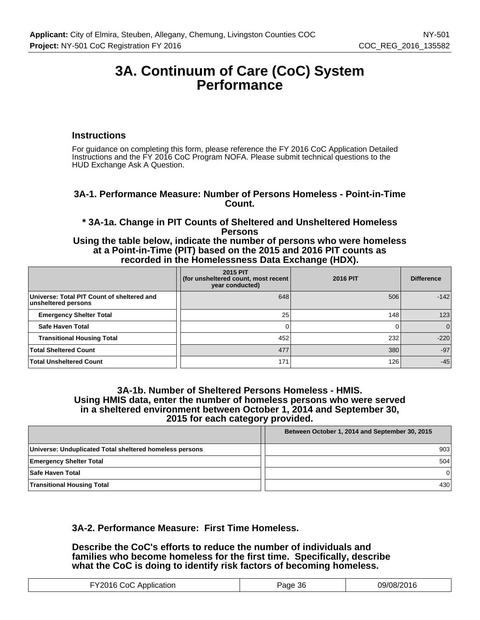## **3A. Continuum of Care (CoC) System Performance**

#### **Instructions**

For guidance on completing this form, please reference the FY 2016 CoC Application Detailed Instructions and the FY 2016 CoC Program NOFA. Please submit technical questions to the HUD Exchange Ask A Question.

## **3A-1. Performance Measure: Number of Persons Homeless - Point-in-Time Count.**

**\* 3A-1a. Change in PIT Counts of Sheltered and Unsheltered Homeless Persons**

**Using the table below, indicate the number of persons who were homeless at a Point-in-Time (PIT) based on the 2015 and 2016 PIT counts as recorded in the Homelessness Data Exchange (HDX).**

|                                                                   | <b>2015 PIT</b><br>(for unsheltered count, most recent<br>year conducted) | <b>2016 PIT</b> | <b>Difference</b> |
|-------------------------------------------------------------------|---------------------------------------------------------------------------|-----------------|-------------------|
| Universe: Total PIT Count of sheltered and<br>unsheltered persons | 648                                                                       | 506             | $-142$            |
| <b>Emergency Shelter Total</b>                                    | 25                                                                        | 148             | 123               |
| Safe Haven Total                                                  |                                                                           |                 | $\Omega$          |
| <b>Transitional Housing Total</b>                                 | 452                                                                       | 232             | $-220$            |
| <b>Total Sheltered Count</b>                                      | 477                                                                       | 380             | $-97$             |
| <b>Total Unsheltered Count</b>                                    | 171                                                                       | 126             | $-45$             |

#### **3A-1b. Number of Sheltered Persons Homeless - HMIS. Using HMIS data, enter the number of homeless persons who were served in a sheltered environment between October 1, 2014 and September 30, 2015 for each category provided.**

| Between October 1, 2014 and September 30, 2015          |     |
|---------------------------------------------------------|-----|
| Universe: Unduplicated Total sheltered homeless persons | 903 |
| <b>Emergency Shelter Total</b>                          | 504 |
| <b>Safe Haven Total</b>                                 |     |
| <b>Transitional Housing Total</b>                       | 430 |

## **3A-2. Performance Measure: First Time Homeless.**

**Describe the CoC's efforts to reduce the number of individuals and families who become homeless for the first time. Specifically, describe what the CoC is doing to identify risk factors of becoming homeless.**

| $\sqrt{222}$<br>ി∩.<br>Application | -36<br>.<br>ane | 09/08/201<br>۷۱ تا ۲۷ |
|------------------------------------|-----------------|-----------------------|
|------------------------------------|-----------------|-----------------------|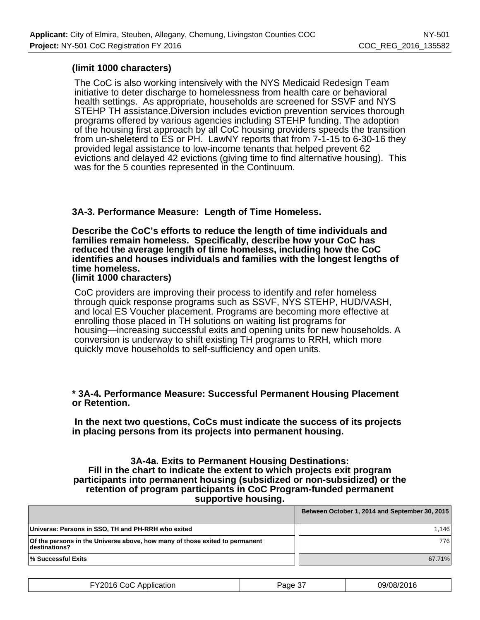## **(limit 1000 characters)**

The CoC is also working intensively with the NYS Medicaid Redesign Team initiative to deter discharge to homelessness from health care or behavioral health settings. As appropriate, households are screened for SSVF and NYS STEHP TH assistance.Diversion includes eviction prevention services thorough programs offered by various agencies including STEHP funding. The adoption of the housing first approach by all CoC housing providers speeds the transition from un-sheleterd to ES or PH. LawNY reports that from 7-1-15 to 6-30-16 they provided legal assistance to low-income tenants that helped prevent 62 evictions and delayed 42 evictions (giving time to find alternative housing). This was for the 5 counties represented in the Continuum.

## **3A-3. Performance Measure: Length of Time Homeless.**

**Describe the CoC's efforts to reduce the length of time individuals and families remain homeless. Specifically, describe how your CoC has reduced the average length of time homeless, including how the CoC identifies and houses individuals and families with the longest lengths of time homeless.**

**(limit 1000 characters)**

CoC providers are improving their process to identify and refer homeless through quick response programs such as SSVF, NYS STEHP, HUD/VASH, and local ES Voucher placement. Programs are becoming more effective at enrolling those placed in TH solutions on waiting list programs for housing—increasing successful exits and opening units for new households. A conversion is underway to shift existing TH programs to RRH, which more quickly move households to self-sufficiency and open units.

## **\* 3A-4. Performance Measure: Successful Permanent Housing Placement or Retention.**

 **In the next two questions, CoCs must indicate the success of its projects in placing persons from its projects into permanent housing.**

#### **3A-4a. Exits to Permanent Housing Destinations: Fill in the chart to indicate the extent to which projects exit program participants into permanent housing (subsidized or non-subsidized) or the retention of program participants in CoC Program-funded permanent supportive housing.**

|                                                                                              | Between October 1, 2014 and September 30, 2015 |
|----------------------------------------------------------------------------------------------|------------------------------------------------|
| Universe: Persons in SSO, TH and PH-RRH who exited                                           | 1.146                                          |
| Of the persons in the Universe above, how many of those exited to permanent<br>destinations? | 776 I                                          |
| <b>Successful Exits</b> I%                                                                   | 67.71%                                         |

| FY2016 CoC Application | Page 37 | 09/08/2016 |
|------------------------|---------|------------|
|------------------------|---------|------------|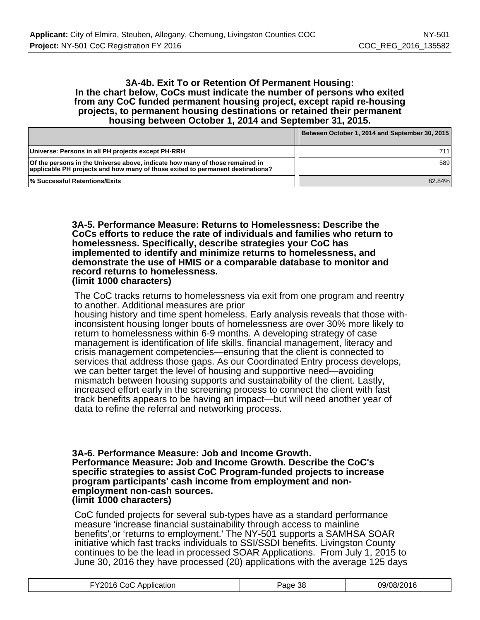#### **3A-4b. Exit To or Retention Of Permanent Housing: In the chart below, CoCs must indicate the number of persons who exited from any CoC funded permanent housing project, except rapid re-housing projects, to permanent housing destinations or retained their permanent housing between October 1, 2014 and September 31, 2015.**

|                                                                                                                                                                | Between October 1, 2014 and September 30, 2015 |
|----------------------------------------------------------------------------------------------------------------------------------------------------------------|------------------------------------------------|
| Universe: Persons in all PH projects except PH-RRH                                                                                                             | 711                                            |
| Of the persons in the Universe above, indicate how many of those remained in<br>applicable PH projects and how many of those exited to permanent destinations? | 589                                            |
| <b>Successful Retentions/Exits</b> 1%                                                                                                                          | 82.84%                                         |

**3A-5. Performance Measure: Returns to Homelessness: Describe the CoCs efforts to reduce the rate of individuals and families who return to homelessness. Specifically, describe strategies your CoC has implemented to identify and minimize returns to homelessness, and demonstrate the use of HMIS or a comparable database to monitor and record returns to homelessness. (limit 1000 characters)**

The CoC tracks returns to homelessness via exit from one program and reentry to another. Additional measures are prior

housing history and time spent homeless. Early analysis reveals that those withinconsistent housing longer bouts of homelessness are over 30% more likely to return to homelessness within 6-9 months. A developing strategy of case management is identification of life skills, financial management, literacy and crisis management competencies—ensuring that the client is connected to services that address those gaps. As our Coordinated Entry process develops, we can better target the level of housing and supportive need—avoiding mismatch between housing supports and sustainability of the client. Lastly, increased effort early in the screening process to connect the client with fast track benefits appears to be having an impact—but will need another year of data to refine the referral and networking process.

#### **3A-6. Performance Measure: Job and Income Growth. Performance Measure: Job and Income Growth. Describe the CoC's specific strategies to assist CoC Program-funded projects to increase program participants' cash income from employment and nonemployment non-cash sources. (limit 1000 characters)**

CoC funded projects for several sub-types have as a standard performance measure 'increase financial sustainability through access to mainline benefits',or 'returns to employment.' The NY-501 supports a SAMHSA SOAR initiative which fast tracks individuals to SSI/SSDI benefits. Livingston County continues to be the lead in processed SOAR Applications. From July 1, 2015 to June 30, 2016 they have processed (20) applications with the average 125 days

| ∴∩<br>$\ddotsc$<br>11 K<br>. .<br>. эн с<br>. <del>.</del><br>. <del>.</del> | OС | ⊷.<br>. |
|------------------------------------------------------------------------------|----|---------|
|                                                                              |    |         |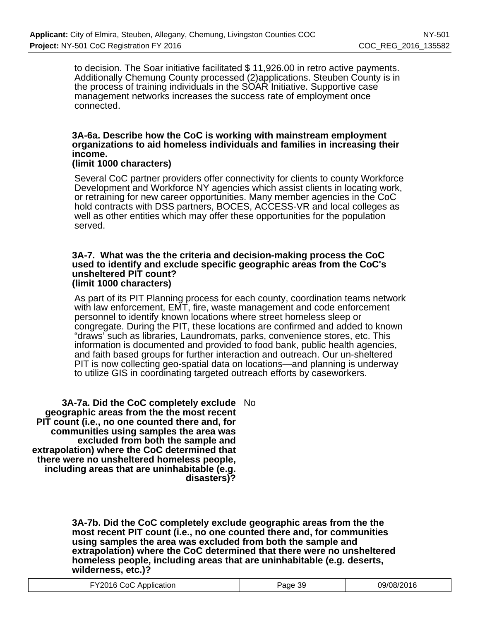to decision. The Soar initiative facilitated \$ 11,926.00 in retro active payments. Additionally Chemung County processed (2)applications. Steuben County is in the process of training individuals in the SOAR Initiative. Supportive case management networks increases the success rate of employment once connected.

## **3A-6a. Describe how the CoC is working with mainstream employment organizations to aid homeless individuals and families in increasing their income.**

## **(limit 1000 characters)**

Several CoC partner providers offer connectivity for clients to county Workforce Development and Workforce NY agencies which assist clients in locating work, or retraining for new career opportunities. Many member agencies in the CoC hold contracts with DSS partners, BOCES, ACCESS-VR and local colleges as well as other entities which may offer these opportunities for the population served.

#### **3A-7. What was the the criteria and decision-making process the CoC used to identify and exclude specific geographic areas from the CoC's unsheltered PIT count? (limit 1000 characters)**

As part of its PIT Planning process for each county, coordination teams network with law enforcement, EMT, fire, waste management and code enforcement personnel to identify known locations where street homeless sleep or congregate. During the PIT, these locations are confirmed and added to known "draws' such as libraries, Laundromats, parks, convenience stores, etc. This information is documented and provided to food bank, public health agencies, and faith based groups for further interaction and outreach. Our un-sheltered PIT is now collecting geo-spatial data on locations—and planning is underway to utilize GIS in coordinating targeted outreach efforts by caseworkers.

**3A-7a. Did the CoC completely exclude** No **geographic areas from the the most recent PIT count (i.e., no one counted there and, for communities using samples the area was excluded from both the sample and extrapolation) where the CoC determined that there were no unsheltered homeless people, including areas that are uninhabitable (e.g. disasters)?**

> **3A-7b. Did the CoC completely exclude geographic areas from the the most recent PIT count (i.e., no one counted there and, for communities using samples the area was excluded from both the sample and extrapolation) where the CoC determined that there were no unsheltered homeless people, including areas that are uninhabitable (e.g. deserts, wilderness, etc.)?**

| FY2016 CoC Application | Page 39 | 09/08/2016 |
|------------------------|---------|------------|
|------------------------|---------|------------|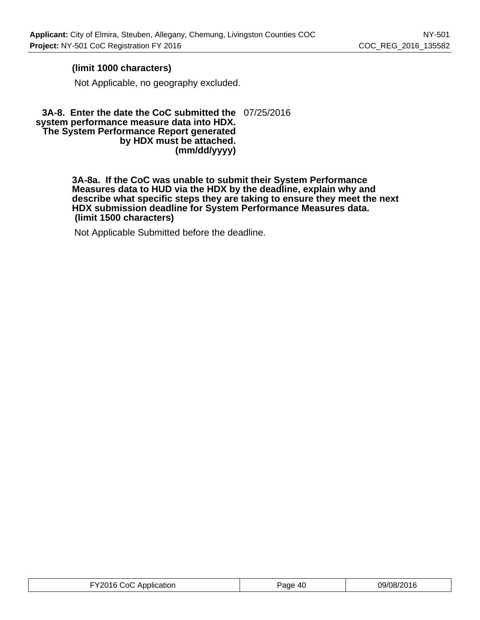## **(limit 1000 characters)**

Not Applicable, no geography excluded.

#### **3A-8. Enter the date the CoC submitted the** 07/25/2016 **system performance measure data into HDX. The System Performance Report generated by HDX must be attached. (mm/dd/yyyy)**

**3A-8a. If the CoC was unable to submit their System Performance Measures data to HUD via the HDX by the deadline, explain why and describe what specific steps they are taking to ensure they meet the next HDX submission deadline for System Performance Measures data. (limit 1500 characters)**

Not Applicable Submitted before the deadline.

| 09/08/2016 |
|------------|
|            |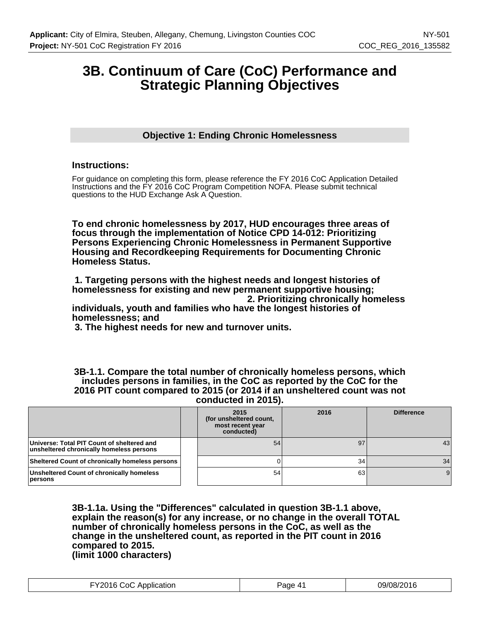## **3B. Continuum of Care (CoC) Performance and Strategic Planning Objectives**

## **Objective 1: Ending Chronic Homelessness**

## **Instructions:**

For guidance on completing this form, please reference the FY 2016 CoC Application Detailed Instructions and the FY 2016 CoC Program Competition NOFA. Please submit technical questions to the HUD Exchange Ask A Question.

**To end chronic homelessness by 2017, HUD encourages three areas of focus through the implementation of Notice CPD 14-012: Prioritizing Persons Experiencing Chronic Homelessness in Permanent Supportive Housing and Recordkeeping Requirements for Documenting Chronic Homeless Status.**

 **1. Targeting persons with the highest needs and longest histories of homelessness for existing and new permanent supportive housing; 2. Prioritizing chronically homeless**

**individuals, youth and families who have the longest histories of homelessness; and**

 **3. The highest needs for new and turnover units.**

**3B-1.1. Compare the total number of chronically homeless persons, which includes persons in families, in the CoC as reported by the CoC for the 2016 PIT count compared to 2015 (or 2014 if an unsheltered count was not conducted in 2015).**

|                                                                                        | 2015<br>(for unsheltered count,<br>most recent year<br>conducted) | 2016 | <b>Difference</b> |
|----------------------------------------------------------------------------------------|-------------------------------------------------------------------|------|-------------------|
| Universe: Total PIT Count of sheltered and<br>unsheltered chronically homeless persons | 54                                                                | 97   | 43                |
| Sheltered Count of chronically homeless persons                                        |                                                                   | 34   | 34                |
| Unsheltered Count of chronically homeless<br>persons                                   | 54                                                                | 63   |                   |

**3B-1.1a. Using the "Differences" calculated in question 3B-1.1 above, explain the reason(s) for any increase, or no change in the overall TOTAL number of chronically homeless persons in the CoC, as well as the change in the unsheltered count, as reported in the PIT count in 2016 compared to 2015. (limit 1000 characters)**

| FY2016 CoC Application | Page 41 | 09/08/2016 |
|------------------------|---------|------------|
|------------------------|---------|------------|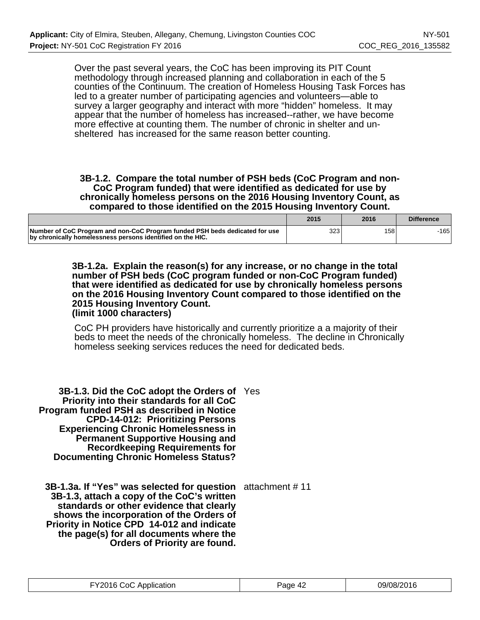Over the past several years, the CoC has been improving its PIT Count methodology through increased planning and collaboration in each of the 5 counties of the Continuum. The creation of Homeless Housing Task Forces has led to a greater number of participating agencies and volunteers—able to survey a larger geography and interact with more "hidden" homeless. It may appear that the number of homeless has increased--rather, we have become more effective at counting them. The number of chronic in shelter and unsheltered has increased for the same reason better counting.

#### **3B-1.2. Compare the total number of PSH beds (CoC Program and non-CoC Program funded) that were identified as dedicated for use by chronically homeless persons on the 2016 Housing Inventory Count, as compared to those identified on the 2015 Housing Inventory Count.**

|                                                                                                                                           | 2015 | 2016 | <b>Difference</b> |
|-------------------------------------------------------------------------------------------------------------------------------------------|------|------|-------------------|
| Number of CoC Program and non-CoC Program funded PSH beds dedicated for use<br>by chronically homelessness persons identified on the HIC. | 323  | 158  | -1651             |

**3B-1.2a. Explain the reason(s) for any increase, or no change in the total number of PSH beds (CoC program funded or non-CoC Program funded) that were identified as dedicated for use by chronically homeless persons on the 2016 Housing Inventory Count compared to those identified on the 2015 Housing Inventory Count. (limit 1000 characters)**

CoC PH providers have historically and currently prioritize a a majority of their beds to meet the needs of the chronically homeless. The decline in Chronically homeless seeking services reduces the need for dedicated beds.

**3B-1.3. Did the CoC adopt the Orders of** Yes **Priority into their standards for all CoC Program funded PSH as described in Notice CPD-14-012: Prioritizing Persons Experiencing Chronic Homelessness in Permanent Supportive Housing and Recordkeeping Requirements for Documenting Chronic Homeless Status?**

**3B-1.3a. If "Yes" was selected for question** attachment # 11 **3B-1.3, attach a copy of the CoC's written standards or other evidence that clearly shows the incorporation of the Orders of Priority in Notice CPD 14-012 and indicate the page(s) for all documents where the Orders of Priority are found.**

| 09/08/2016 |
|------------|
|            |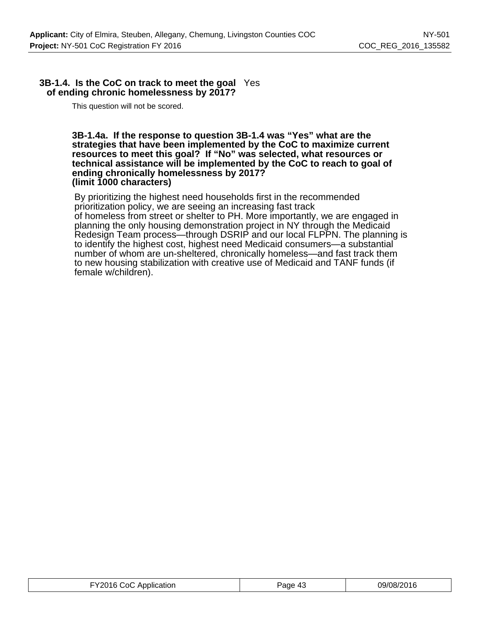## **3B-1.4. Is the CoC on track to meet the goal** Yes **of ending chronic homelessness by 2017?**

This question will not be scored.

#### **3B-1.4a. If the response to question 3B-1.4 was "Yes" what are the strategies that have been implemented by the CoC to maximize current resources to meet this goal? If "No" was selected, what resources or technical assistance will be implemented by the CoC to reach to goal of ending chronically homelessness by 2017? (limit 1000 characters)**

By prioritizing the highest need households first in the recommended prioritization policy, we are seeing an increasing fast track of homeless from street or shelter to PH. More importantly, we are engaged in planning the only housing demonstration project in NY through the Medicaid Redesign Team process—through DSRIP and our local FLPPN. The planning is to identify the highest cost, highest need Medicaid consumers—a substantial number of whom are un-sheltered, chronically homeless—and fast track them to new housing stabilization with creative use of Medicaid and TANF funds (if female w/children).

| FY2016 CoC Application | Page 43 | 09/08/2016 |
|------------------------|---------|------------|
|------------------------|---------|------------|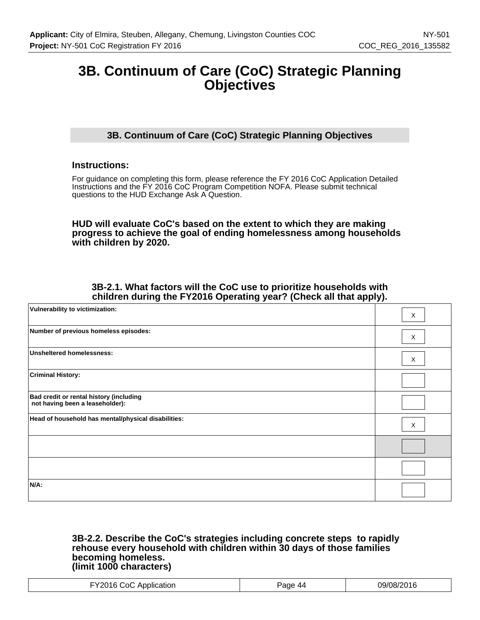## **3B. Continuum of Care (CoC) Strategic Planning Objectives**

## **3B. Continuum of Care (CoC) Strategic Planning Objectives**

## **Instructions:**

For guidance on completing this form, please reference the FY 2016 CoC Application Detailed Instructions and the FY 2016 CoC Program Competition NOFA. Please submit technical questions to the HUD Exchange Ask A Question.

**HUD will evaluate CoC's based on the extent to which they are making progress to achieve the goal of ending homelessness among households with children by 2020.**

## **3B-2.1. What factors will the CoC use to prioritize households with children during the FY2016 Operating year? (Check all that apply).**

| Vulnerability to victimization:                                            | X |
|----------------------------------------------------------------------------|---|
| Number of previous homeless episodes:                                      | X |
| <b>Unsheltered homelessness:</b>                                           | X |
| <b>Criminal History:</b>                                                   |   |
| Bad credit or rental history (including<br>not having been a leaseholder): |   |
| Head of household has mental/physical disabilities:                        | X |
|                                                                            |   |
|                                                                            |   |
| $N/A$ :                                                                    |   |

#### **3B-2.2. Describe the CoC's strategies including concrete steps to rapidly rehouse every household with children within 30 days of those families becoming homeless. (limit 1000 characters)**

| ำเ<br>ш<br>. .<br>. <del>.</del><br>. |  |
|---------------------------------------|--|
|---------------------------------------|--|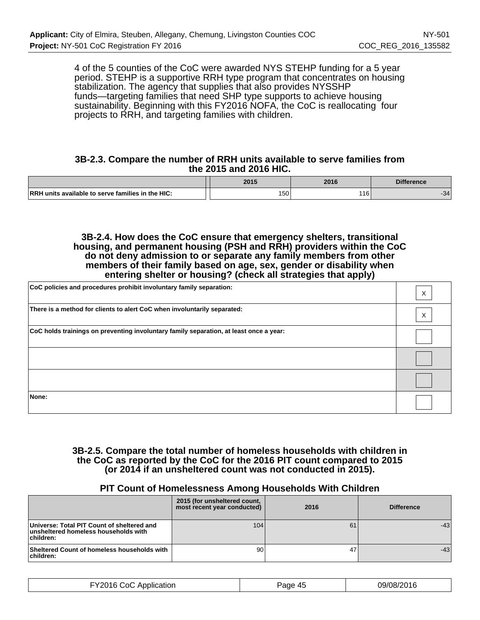4 of the 5 counties of the CoC were awarded NYS STEHP funding for a 5 year period. STEHP is a supportive RRH type program that concentrates on housing stabilization. The agency that supplies that also provides NYSSHP funds—targeting families that need SHP type supports to achieve housing sustainability. Beginning with this FY2016 NOFA, the CoC is reallocating four projects to RRH, and targeting families with children.

#### **3B-2.3. Compare the number of RRH units available to serve families from the 2015 and 2016 HIC.**

|                                                                | 2015                      | 2016 | <b>Difference</b> |
|----------------------------------------------------------------|---------------------------|------|-------------------|
| <b>IRRH</b><br>I units available to serve families in the HIC: | $- - -$<br>$\sim$<br>∣ ບບ |      | 34'               |

**3B-2.4. How does the CoC ensure that emergency shelters, transitional housing, and permanent housing (PSH and RRH) providers within the CoC do not deny admission to or separate any family members from other members of their family based on age, sex, gender or disability when entering shelter or housing? (check all strategies that apply)**

| CoC policies and procedures prohibit involuntary family separation:                    | Χ |
|----------------------------------------------------------------------------------------|---|
| There is a method for clients to alert CoC when involuntarily separated:               | X |
| CoC holds trainings on preventing involuntary family separation, at least once a year: |   |
|                                                                                        |   |
|                                                                                        |   |
| None:                                                                                  |   |

## **3B-2.5. Compare the total number of homeless households with children in the CoC as reported by the CoC for the 2016 PIT count compared to 2015 (or 2014 if an unsheltered count was not conducted in 2015).**

## **PIT Count of Homelessness Among Households With Children**

|                                                                                                 | 2015 (for unsheltered count,<br>most recent year conducted) | 2016 | <b>Difference</b> |
|-------------------------------------------------------------------------------------------------|-------------------------------------------------------------|------|-------------------|
| Universe: Total PIT Count of sheltered and<br>unsheltered homeless households with<br>children: | 104                                                         | 61   | $-43$             |
| Sheltered Count of homeless households with<br>children:                                        | 90                                                          | 47   | $-43$             |

| FY2016 CoC Application | Page 45 | 09/08/2016 |
|------------------------|---------|------------|
|------------------------|---------|------------|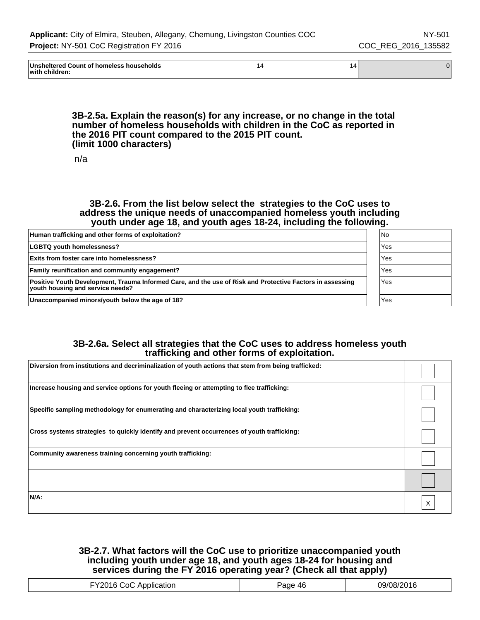| ∣Unshı<br>: households<br>⊡∩unt<br>$ -$<br>.<br>™rereα .<br>יי<br>--<br>with<br>-- anilare -<br>$\sim$ $\sim$ $\sim$ $\sim$ $\sim$ $\sim$ $\sim$ | ۰4. | 14 |  |
|--------------------------------------------------------------------------------------------------------------------------------------------------|-----|----|--|
|--------------------------------------------------------------------------------------------------------------------------------------------------|-----|----|--|

#### **3B-2.5a. Explain the reason(s) for any increase, or no change in the total number of homeless households with children in the CoC as reported in the 2016 PIT count compared to the 2015 PIT count. (limit 1000 characters)**

n/a

#### **3B-2.6. From the list below select the strategies to the CoC uses to address the unique needs of unaccompanied homeless youth including youth under age 18, and youth ages 18-24, including the following.**

| Human trafficking and other forms of exploitation?                                                                                            | l No |
|-----------------------------------------------------------------------------------------------------------------------------------------------|------|
| <b>LGBTQ youth homelessness?</b>                                                                                                              | Yes  |
| <b>Exits from foster care into homelessness?</b>                                                                                              | Yes  |
| <b>Family reunification and community engagement?</b>                                                                                         | Yes  |
| Positive Youth Development, Trauma Informed Care, and the use of Risk and Protective Factors in assessing<br>vouth housing and service needs? | Yes  |
| Unaccompanied minors/youth below the age of 18?                                                                                               | Yes  |

## **3B-2.6a. Select all strategies that the CoC uses to address homeless youth trafficking and other forms of exploitation.**

| Diversion from institutions and decriminalization of youth actions that stem from being trafficked: |  |
|-----------------------------------------------------------------------------------------------------|--|
| Increase housing and service options for youth fleeing or attempting to flee trafficking:           |  |
| Specific sampling methodology for enumerating and characterizing local youth trafficking:           |  |
| Cross systems strategies to quickly identify and prevent occurrences of youth trafficking:          |  |
| Community awareness training concerning youth trafficking:                                          |  |
|                                                                                                     |  |
| $N/A$ :                                                                                             |  |

## **3B-2.7. What factors will the CoC use to prioritize unaccompanied youth including youth under age 18, and youth ages 18-24 for housing and services during the FY 2016 operating year? (Check all that apply)**

| าเ<br>.<br>. | -- |  |
|--------------|----|--|
|--------------|----|--|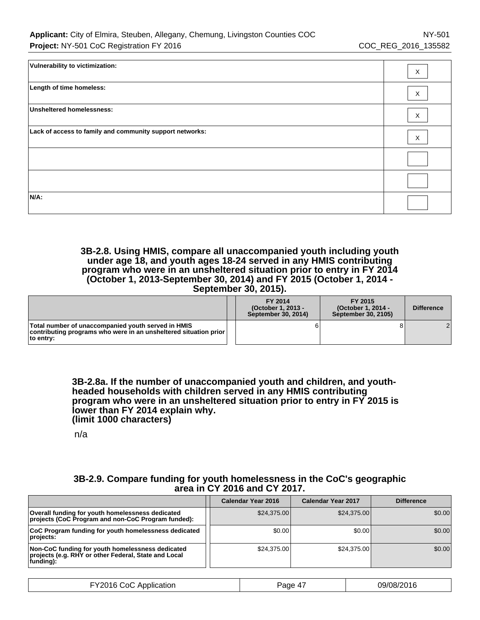| Vulnerability to victimization:                          | Χ |
|----------------------------------------------------------|---|
| Length of time homeless:                                 | X |
| Unsheltered homelessness:                                | X |
| Lack of access to family and community support networks: | X |
|                                                          |   |
|                                                          |   |
| N/A:                                                     |   |

#### **3B-2.8. Using HMIS, compare all unaccompanied youth including youth under age 18, and youth ages 18-24 served in any HMIS contributing program who were in an unsheltered situation prior to entry in FY 2014 (October 1, 2013-September 30, 2014) and FY 2015 (October 1, 2014 - September 30, 2015).**

|                                                                                                                                                     | FY 2014<br>(October 1, 2013 -<br>September 30, 2014) | FY 2015<br>(October 1, 2014 -<br>September 30, 2105) | <b>Difference</b> |
|-----------------------------------------------------------------------------------------------------------------------------------------------------|------------------------------------------------------|------------------------------------------------------|-------------------|
| Total number of unaccompanied youth served in HMIS<br>$\vert$ contributing programs who were in an unsheltered situation prior $\vert$<br>to entry: |                                                      |                                                      |                   |

**3B-2.8a. If the number of unaccompanied youth and children, and youthheaded households with children served in any HMIS contributing program who were in an unsheltered situation prior to entry in FY 2015 is lower than FY 2014 explain why. (limit 1000 characters)**

n/a

## **3B-2.9. Compare funding for youth homelessness in the CoC's geographic area in CY 2016 and CY 2017.**

|                                                                                                                        | Calendar Year 2016 | <b>Calendar Year 2017</b> | <b>Difference</b> |
|------------------------------------------------------------------------------------------------------------------------|--------------------|---------------------------|-------------------|
| Overall funding for youth homelessness dedicated<br>projects (CoC Program and non-CoC Program funded):                 | \$24,375,00        | \$24,375.00               | \$0.00            |
| CoC Program funding for youth homelessness dedicated<br>projects:                                                      | \$0.00             | \$0.00                    | \$0.00            |
| Non-CoC funding for youth homelessness dedicated<br>projects (e.g. RHY or other Federal, State and Local<br> funding): | \$24,375,00        | \$24.375.00               | \$0.00            |

| FY2016 CoC App<br>: Application | $\rightarrow$<br>Page<br>$\Delta$ | 09/08/2016 |
|---------------------------------|-----------------------------------|------------|
|---------------------------------|-----------------------------------|------------|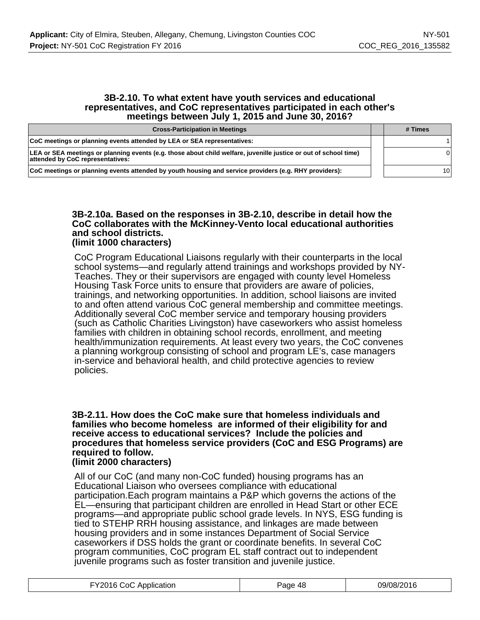#### **3B-2.10. To what extent have youth services and educational representatives, and CoC representatives participated in each other's meetings between July 1, 2015 and June 30, 2016?**

| <b>Cross-Participation in Meetings</b>                                                                                                               | # Times         |
|------------------------------------------------------------------------------------------------------------------------------------------------------|-----------------|
| CoC meetings or planning events attended by LEA or SEA representatives:                                                                              |                 |
| LEA or SEA meetings or planning events (e.g. those about child welfare, juvenille justice or out of school time)<br>attended by CoC representatives: |                 |
| CoC meetings or planning events attended by youth housing and service providers (e.g. RHY providers):                                                | 10 <sub>1</sub> |

#### **3B-2.10a. Based on the responses in 3B-2.10, describe in detail how the CoC collaborates with the McKinney-Vento local educational authorities and school districts. (limit 1000 characters)**

#### CoC Program Educational Liaisons regularly with their counterparts in the local school systems—and regularly attend trainings and workshops provided by NY-Teaches. They or their supervisors are engaged with county level Homeless Housing Task Force units to ensure that providers are aware of policies, trainings, and networking opportunities. In addition, school liaisons are invited to and often attend various CoC general membership and committee meetings. Additionally several CoC member service and temporary housing providers (such as Catholic Charities Livingston) have caseworkers who assist homeless families with children in obtaining school records, enrollment, and meeting health/immunization requirements. At least every two years, the CoC convenes a planning workgroup consisting of school and program LE's, case managers in-service and behavioral health, and child protective agencies to review policies.

### **3B-2.11. How does the CoC make sure that homeless individuals and families who become homeless are informed of their eligibility for and receive access to educational services? Include the policies and procedures that homeless service providers (CoC and ESG Programs) are required to follow.**

#### **(limit 2000 characters)**

All of our CoC (and many non-CoC funded) housing programs has an Educational Liaison who oversees compliance with educational participation.Each program maintains a P&P which governs the actions of the EL—ensuring that participant children are enrolled in Head Start or other ECE programs—and appropriate public school grade levels. In NYS, ESG funding is tied to STEHP RRH housing assistance, and linkages are made between housing providers and in some instances Department of Social Service caseworkers if DSS holds the grant or coordinate benefits. In several CoC program communities, CoC program EL staff contract out to independent juvenile programs such as foster transition and juvenile justice.

| FY2016 CoC Application | Page 48 | 09/08/2016 |
|------------------------|---------|------------|
|------------------------|---------|------------|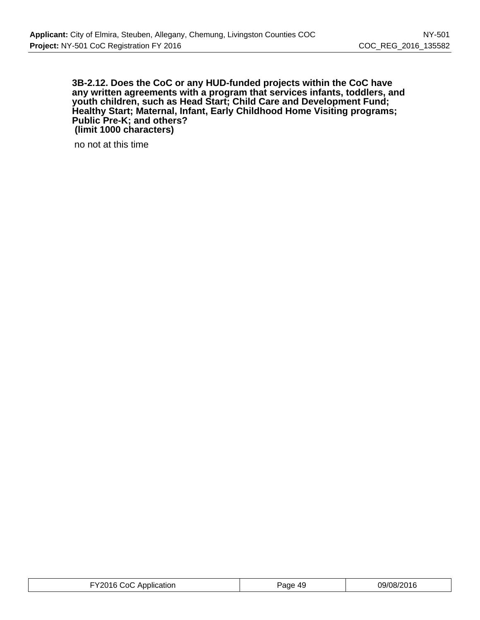#### **3B-2.12. Does the CoC or any HUD-funded projects within the CoC have any written agreements with a program that services infants, toddlers, and youth children, such as Head Start; Child Care and Development Fund; Healthy Start; Maternal, Infant, Early Childhood Home Visiting programs; Public Pre-K; and others? (limit 1000 characters)**

no not at this time

| FY2016 CoC Application<br>Paqe 49 | 09/08/2016 |
|-----------------------------------|------------|
|-----------------------------------|------------|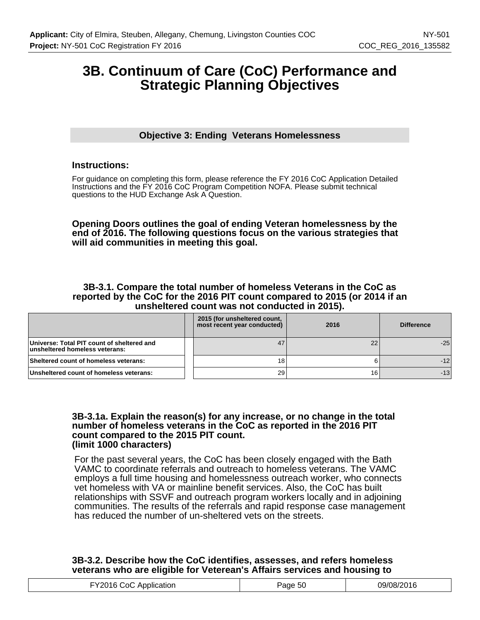## **3B. Continuum of Care (CoC) Performance and Strategic Planning Objectives**

## **Objective 3: Ending Veterans Homelessness**

## **Instructions:**

For guidance on completing this form, please reference the FY 2016 CoC Application Detailed Instructions and the FY 2016 CoC Program Competition NOFA. Please submit technical questions to the HUD Exchange Ask A Question.

#### **Opening Doors outlines the goal of ending Veteran homelessness by the end of 2016. The following questions focus on the various strategies that will aid communities in meeting this goal.**

#### **3B-3.1. Compare the total number of homeless Veterans in the CoC as reported by the CoC for the 2016 PIT count compared to 2015 (or 2014 if an unsheltered count was not conducted in 2015).**

|                                                                              | 2015 (for unsheltered count,<br>most recent year conducted) | 2016 | <b>Difference</b> |
|------------------------------------------------------------------------------|-------------------------------------------------------------|------|-------------------|
| Universe: Total PIT count of sheltered and<br>unsheltered homeless veterans: | 47                                                          | 22   | $-25$             |
| Sheltered count of homeless veterans:                                        | 18                                                          |      | $-12$             |
| Unsheltered count of homeless veterans:                                      | 29                                                          | 16   | $-13$             |

#### **3B-3.1a. Explain the reason(s) for any increase, or no change in the total number of homeless veterans in the CoC as reported in the 2016 PIT count compared to the 2015 PIT count. (limit 1000 characters)**

For the past several years, the CoC has been closely engaged with the Bath VAMC to coordinate referrals and outreach to homeless veterans. The VAMC employs a full time housing and homelessness outreach worker, who connects vet homeless with VA or mainline benefit services. Also, the CoC has built relationships with SSVF and outreach program workers locally and in adjoining communities. The results of the referrals and rapid response case management has reduced the number of un-sheltered vets on the streets.

## **3B-3.2. Describe how the CoC identifies, assesses, and refers homeless veterans who are eligible for Veterean's Affairs services and housing to**

| <b>FY2016 CoC A</b><br>C Application<br>aqe 50 | 09/08/2016 |
|------------------------------------------------|------------|
|------------------------------------------------|------------|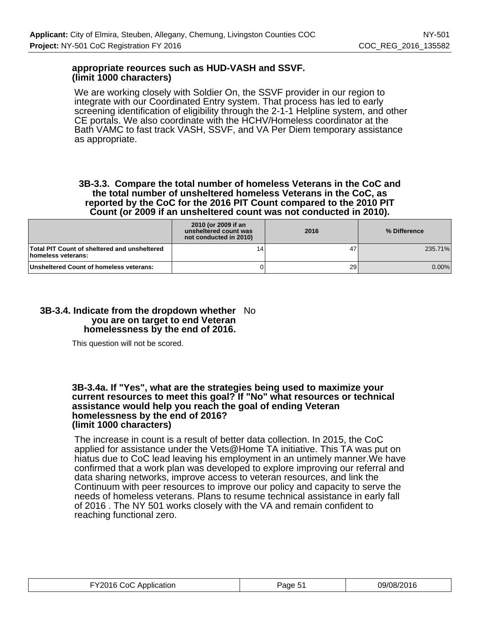## **appropriate reources such as HUD-VASH and SSVF. (limit 1000 characters)**

We are working closely with Soldier On, the SSVF provider in our region to integrate with our Coordinated Entry system. That process has led to early screening identification of eligibility through the 2-1-1 Helpline system, and other CE portals. We also coordinate with the HCHV/Homeless coordinator at the Bath VAMC to fast track VASH, SSVF, and VA Per Diem temporary assistance as appropriate.

#### **3B-3.3. Compare the total number of homeless Veterans in the CoC and the total number of unsheltered homeless Veterans in the CoC, as reported by the CoC for the 2016 PIT Count compared to the 2010 PIT Count (or 2009 if an unsheltered count was not conducted in 2010).**

|                                                                    | 2010 (or 2009 if an<br>unsheltered count was<br>not conducted in 2010) | 2016 | % Difference |
|--------------------------------------------------------------------|------------------------------------------------------------------------|------|--------------|
| Total PIT Count of sheltered and unsheltered<br>homeless veterans: | 14                                                                     | 47   | 235.71%      |
| Unsheltered Count of homeless veterans:                            |                                                                        | 29 l | $0.00\%$     |

### **3B-3.4. Indicate from the dropdown whether** No **you are on target to end Veteran homelessness by the end of 2016.**

This question will not be scored.

#### **3B-3.4a. If "Yes", what are the strategies being used to maximize your current resources to meet this goal? If "No" what resources or technical assistance would help you reach the goal of ending Veteran homelessness by the end of 2016? (limit 1000 characters)**

The increase in count is a result of better data collection. In 2015, the CoC applied for assistance under the Vets@Home TA initiative. This TA was put on hiatus due to CoC lead leaving his employment in an untimely manner.We have confirmed that a work plan was developed to explore improving our referral and data sharing networks, improve access to veteran resources, and link the Continuum with peer resources to improve our policy and capacity to serve the needs of homeless veterans. Plans to resume technical assistance in early fall of 2016 . The NY 501 works closely with the VA and remain confident to reaching functional zero.

| FY2016 CoC Application | Page 51 | 09/08/2016 |
|------------------------|---------|------------|
|------------------------|---------|------------|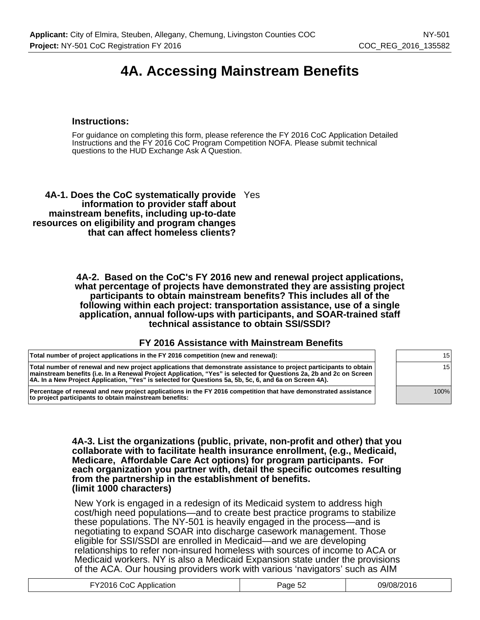# **4A. Accessing Mainstream Benefits**

## **Instructions:**

For guidance on completing this form, please reference the FY 2016 CoC Application Detailed Instructions and the FY 2016 CoC Program Competition NOFA. Please submit technical questions to the HUD Exchange Ask A Question.

**4A-1. Does the CoC systematically provide** Yes **information to provider staff about mainstream benefits, including up-to-date resources on eligibility and program changes that can affect homeless clients?**

> **4A-2. Based on the CoC's FY 2016 new and renewal project applications, what percentage of projects have demonstrated they are assisting project participants to obtain mainstream benefits? This includes all of the following within each project: transportation assistance, use of a single application, annual follow-ups with participants, and SOAR-trained staff technical assistance to obtain SSI/SSDI?**

#### **FY 2016 Assistance with Mainstream Benefits**

| Total number of project applications in the FY 2016 competition (new and renewal):                                                                                                                                                                                                                                                                   |      |
|------------------------------------------------------------------------------------------------------------------------------------------------------------------------------------------------------------------------------------------------------------------------------------------------------------------------------------------------------|------|
| Total number of renewal and new project applications that demonstrate assistance to project participants to obtain<br>mainstream benefits (i.e. In a Renewal Project Application, "Yes" is selected for Questions 2a, 2b and 2c on Screen<br> 4A. In a New Project Application, "Yes" is selected for Questions 5a, 5b, 5c, 6, and 6a on Screen 4A). |      |
| Percentage of renewal and new project applications in the FY 2016 competition that have demonstrated assistance                                                                                                                                                                                                                                      | 100% |

**Percentage of renewal and new project applications in the FY 2016 competition that have demonstrated assistance to project participants to obtain mainstream benefits:**

100%

**4A-3. List the organizations (public, private, non-profit and other) that you collaborate with to facilitate health insurance enrollment, (e.g., Medicaid, Medicare, Affordable Care Act options) for program participants. For each organization you partner with, detail the specific outcomes resulting from the partnership in the establishment of benefits. (limit 1000 characters)**

New York is engaged in a redesign of its Medicaid system to address high cost/high need populations—and to create best practice programs to stabilize these populations. The NY-501 is heavily engaged in the process—and is negotiating to expand SOAR into discharge casework management. Those eligible for SSI/SSDI are enrolled in Medicaid—and we are developing relationships to refer non-insured homeless with sources of income to ACA or Medicaid workers. NY is also a Medicaid Expansion state under the provisions of the ACA. Our housing providers work with various 'navigators' such as AIM

| 09/08/2016<br>Page 52 |
|-----------------------|
|                       |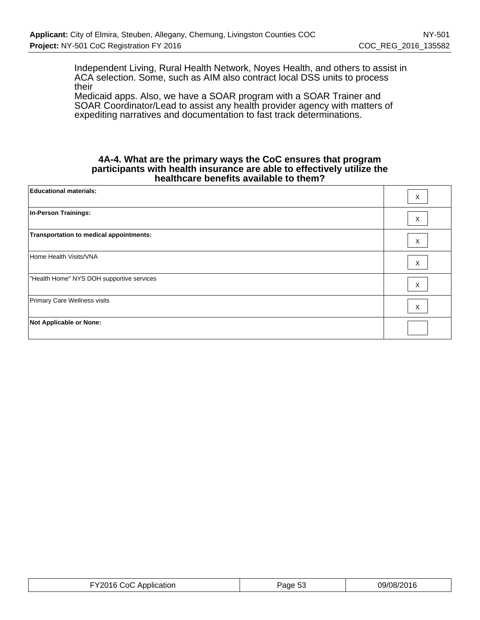Independent Living, Rural Health Network, Noyes Health, and others to assist in ACA selection. Some, such as AIM also contract local DSS units to process their

Medicaid apps. Also, we have a SOAR program with a SOAR Trainer and SOAR Coordinator/Lead to assist any health provider agency with matters of expediting narratives and documentation to fast track determinations.

#### **4A-4. What are the primary ways the CoC ensures that program participants with health insurance are able to effectively utilize the healthcare benefits available to them?**

| <b>Educational materials:</b>             | Χ |
|-------------------------------------------|---|
| In-Person Trainings:                      | Χ |
| Transportation to medical appointments:   | X |
| Home Health Visits/VNA                    | X |
| "Health Home" NYS DOH supportive services | Χ |
| Primary Care Wellness visits              | Χ |
| <b>Not Applicable or None:</b>            |   |

| FY2016 CoC Application | Page 53 | 09/08/2016 |
|------------------------|---------|------------|
|------------------------|---------|------------|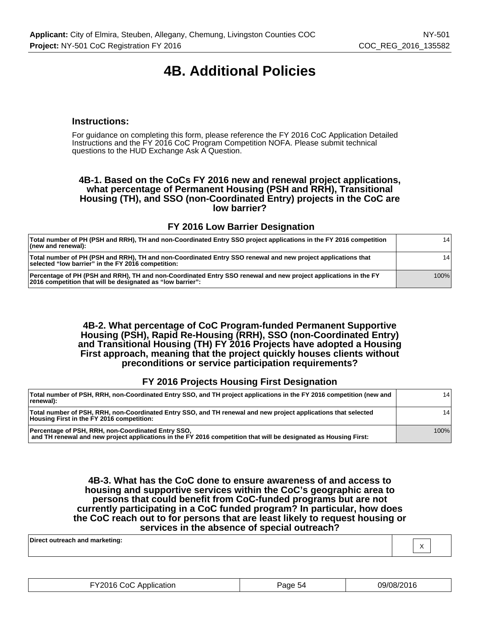# **4B. Additional Policies**

#### **Instructions:**

For guidance on completing this form, please reference the FY 2016 CoC Application Detailed Instructions and the FY 2016 CoC Program Competition NOFA. Please submit technical questions to the HUD Exchange Ask A Question.

#### **4B-1. Based on the CoCs FY 2016 new and renewal project applications, what percentage of Permanent Housing (PSH and RRH), Transitional Housing (TH), and SSO (non-Coordinated Entry) projects in the CoC are low barrier?**

#### **FY 2016 Low Barrier Designation**

| Total number of PH (PSH and RRH), TH and non-Coordinated Entry SSO project applications in the FY 2016 competition<br>$ $ (new and renewal):                                  | 141  |
|-------------------------------------------------------------------------------------------------------------------------------------------------------------------------------|------|
| Total number of PH (PSH and RRH), TH and non-Coordinated Entry SSO renewal and new project applications that<br>selected "low barrier" in the FY 2016 competition:            | 141  |
| Percentage of PH (PSH and RRH), TH and non-Coordinated Entry SSO renewal and new project applications in the FY<br>2016 competition that will be designated as "low barrier": | 100% |

**4B-2. What percentage of CoC Program-funded Permanent Supportive Housing (PSH), Rapid Re-Housing (RRH), SSO (non-Coordinated Entry) and Transitional Housing (TH) FY 2016 Projects have adopted a Housing First approach, meaning that the project quickly houses clients without preconditions or service participation requirements?**

#### **FY 2016 Projects Housing First Designation**

| Total number of PSH, RRH, non-Coordinated Entry SSO, and TH project applications in the FY 2016 competition (new and<br>renewal):                                      | 141  |
|------------------------------------------------------------------------------------------------------------------------------------------------------------------------|------|
| Total number of PSH, RRH, non-Coordinated Entry SSO, and TH renewal and new project applications that selected<br>Housing First in the FY 2016 competition:            | 141  |
| Percentage of PSH, RRH, non-Coordinated Entry SSO,<br>and TH renewal and new project applications in the FY 2016 competition that will be designated as Housing First: | 100% |

**4B-3. What has the CoC done to ensure awareness of and access to housing and supportive services within the CoC's geographic area to persons that could benefit from CoC-funded programs but are not currently participating in a CoC funded program? In particular, how does the CoC reach out to for persons that are least likely to request housing or services in the absence of special outreach?**

X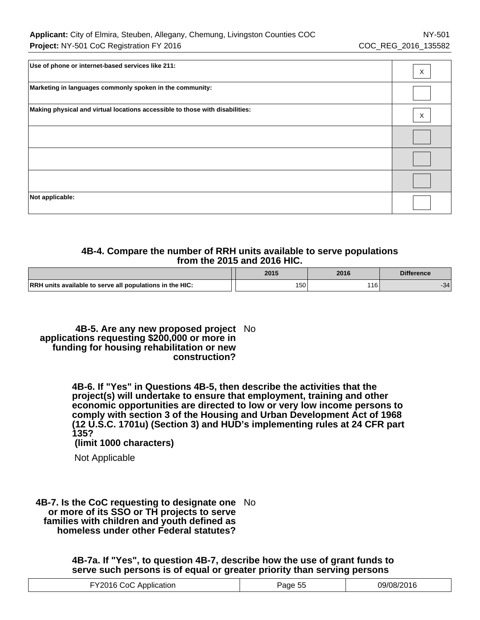| Use of phone or internet-based services like 211:                            | X |
|------------------------------------------------------------------------------|---|
| Marketing in languages commonly spoken in the community:                     |   |
| Making physical and virtual locations accessible to those with disabilities: | X |
|                                                                              |   |
|                                                                              |   |
|                                                                              |   |
| Not applicable:                                                              |   |

## **4B-4. Compare the number of RRH units available to serve populations from the 2015 and 2016 HIC.**

|                                                          | 2015 | 2016       | <b>Difference</b> |
|----------------------------------------------------------|------|------------|-------------------|
| RRH units available to serve all populations in the HIC: | 150  | 116<br>1 U | -34               |

**4B-5. Are any new proposed project** No **applications requesting \$200,000 or more in funding for housing rehabilitation or new construction?**

> **4B-6. If "Yes" in Questions 4B-5, then describe the activities that the project(s) will undertake to ensure that employment, training and other economic opportunities are directed to low or very low income persons to comply with section 3 of the Housing and Urban Development Act of 1968 (12 U.S.C. 1701u) (Section 3) and HUD's implementing rules at 24 CFR part 135?**

 **(limit 1000 characters)**

Not Applicable

**4B-7. Is the CoC requesting to designate one** No **or more of its SSO or TH projects to serve families with children and youth defined as homeless under other Federal statutes?**

> **4B-7a. If "Yes", to question 4B-7, describe how the use of grant funds to serve such persons is of equal or greater priority than serving persons**

| TY2016 CoC Application | ---<br>Page 55 | 09/08/2016 |
|------------------------|----------------|------------|
|------------------------|----------------|------------|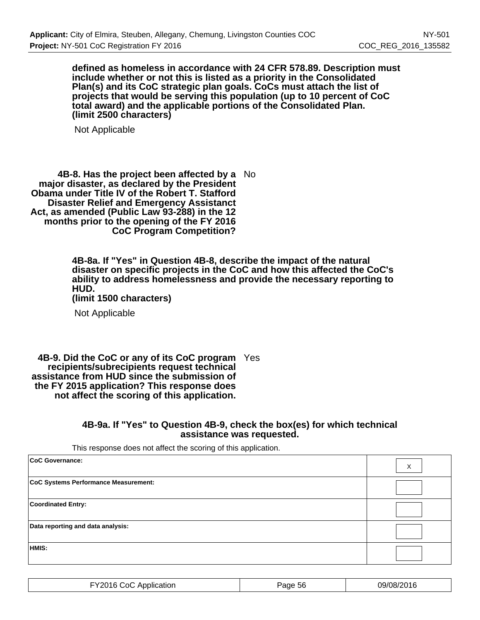**defined as homeless in accordance with 24 CFR 578.89. Description must include whether or not this is listed as a priority in the Consolidated Plan(s) and its CoC strategic plan goals. CoCs must attach the list of projects that would be serving this population (up to 10 percent of CoC total award) and the applicable portions of the Consolidated Plan. (limit 2500 characters)**

Not Applicable

**4B-8. Has the project been affected by a** No **major disaster, as declared by the President Obama under Title IV of the Robert T. Stafford Disaster Relief and Emergency Assistanct Act, as amended (Public Law 93-288) in the 12 months prior to the opening of the FY 2016 CoC Program Competition?**

> **4B-8a. If "Yes" in Question 4B-8, describe the impact of the natural disaster on specific projects in the CoC and how this affected the CoC's ability to address homelessness and provide the necessary reporting to HUD.**

**(limit 1500 characters)**

Not Applicable

**4B-9. Did the CoC or any of its CoC program** Yes **recipients/subrecipients request technical assistance from HUD since the submission of the FY 2015 application? This response does not affect the scoring of this application.**

#### **4B-9a. If "Yes" to Question 4B-9, check the box(es) for which technical assistance was requested.**

This response does not affect the scoring of this application.

| CoC Governance:                      | X |
|--------------------------------------|---|
| CoC Systems Performance Measurement: |   |
| <b>Coordinated Entry:</b>            |   |
| Data reporting and data analysis:    |   |
| HMIS:                                |   |

| .VON1G<br>∴oC<br>Application<br>.<br>. | Page<br>56 | 09/08/2016 |
|----------------------------------------|------------|------------|
|----------------------------------------|------------|------------|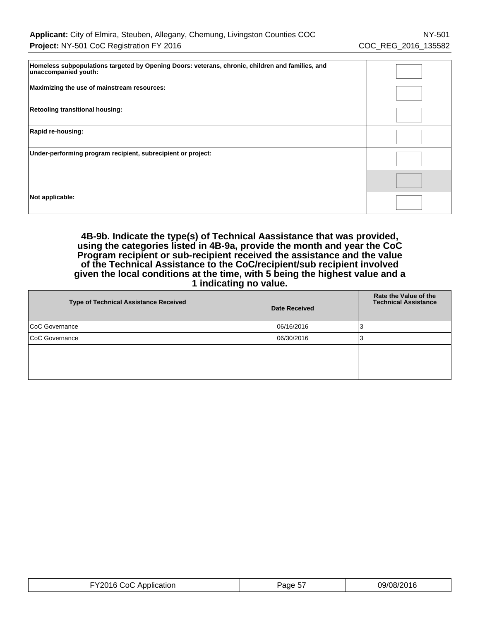| Homeless subpopulations targeted by Opening Doors: veterans, chronic, children and families, and<br>unaccompanied youth: |  |
|--------------------------------------------------------------------------------------------------------------------------|--|
| Maximizing the use of mainstream resources:                                                                              |  |
| <b>Retooling transitional housing:</b>                                                                                   |  |
| Rapid re-housing:                                                                                                        |  |
| Under-performing program recipient, subrecipient or project:                                                             |  |
|                                                                                                                          |  |
| Not applicable:                                                                                                          |  |

**4B-9b. Indicate the type(s) of Technical Aassistance that was provided, using the categories listed in 4B-9a, provide the month and year the CoC Program recipient or sub-recipient received the assistance and the value of the Technical Assistance to the CoC/recipient/sub recipient involved given the local conditions at the time, with 5 being the highest value and a 1 indicating no value.**

| <b>Type of Technical Assistance Received</b> | <b>Date Received</b> | Rate the Value of the<br><b>Technical Assistance</b> |
|----------------------------------------------|----------------------|------------------------------------------------------|
| CoC Governance                               | 06/16/2016           |                                                      |
| CoC Governance                               | 06/30/2016           |                                                      |
|                                              |                      |                                                      |
|                                              |                      |                                                      |
|                                              |                      |                                                      |

| TY2016 CoC Application | 09/08/2016<br>$ -$<br>Page 57 |  |
|------------------------|-------------------------------|--|
|------------------------|-------------------------------|--|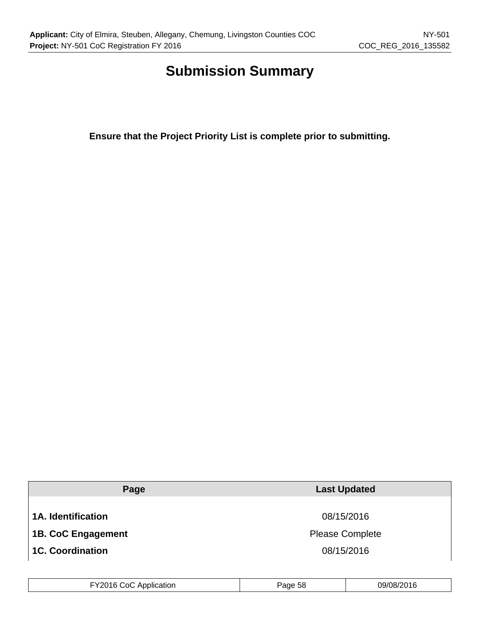# **Submission Summary**

**Ensure that the Project Priority List is complete prior to submitting.**

| Page                      | <b>Last Updated</b>    |
|---------------------------|------------------------|
|                           |                        |
| <b>1A. Identification</b> | 08/15/2016             |
| <b>1B. CoC Engagement</b> | <b>Please Complete</b> |
| <b>1C. Coordination</b>   | 08/15/2016             |

| FY2016 CoC Application | Page 58 | 09/08/2016 |
|------------------------|---------|------------|
|------------------------|---------|------------|